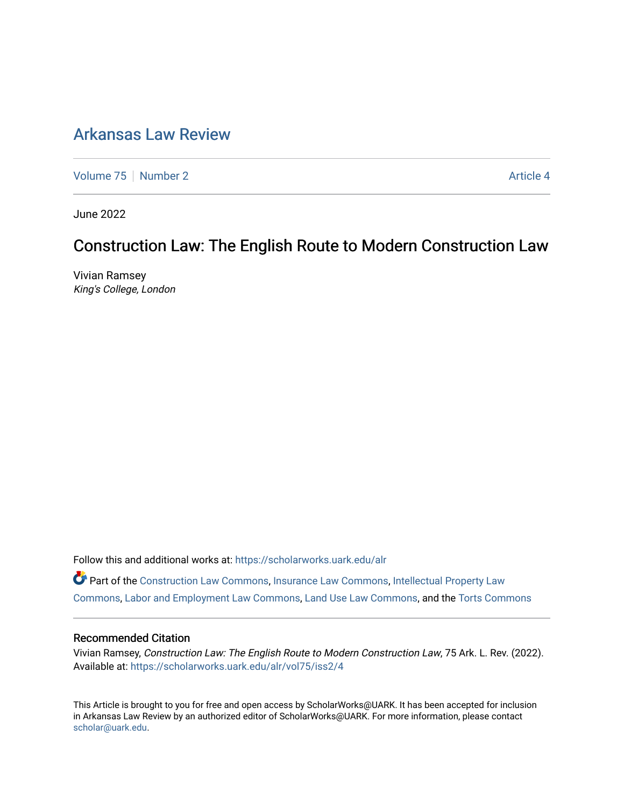# [Arkansas Law Review](https://scholarworks.uark.edu/alr)

[Volume 75](https://scholarworks.uark.edu/alr/vol75) [Number 2](https://scholarworks.uark.edu/alr/vol75/iss2) Article 4

June 2022

# Construction Law: The English Route to Modern Construction Law

Vivian Ramsey King's College, London

Follow this and additional works at: [https://scholarworks.uark.edu/alr](https://scholarworks.uark.edu/alr?utm_source=scholarworks.uark.edu%2Falr%2Fvol75%2Fiss2%2F4&utm_medium=PDF&utm_campaign=PDFCoverPages) 

Part of the [Construction Law Commons,](https://network.bepress.com/hgg/discipline/590?utm_source=scholarworks.uark.edu%2Falr%2Fvol75%2Fiss2%2F4&utm_medium=PDF&utm_campaign=PDFCoverPages) [Insurance Law Commons](https://network.bepress.com/hgg/discipline/607?utm_source=scholarworks.uark.edu%2Falr%2Fvol75%2Fiss2%2F4&utm_medium=PDF&utm_campaign=PDFCoverPages), [Intellectual Property Law](https://network.bepress.com/hgg/discipline/896?utm_source=scholarworks.uark.edu%2Falr%2Fvol75%2Fiss2%2F4&utm_medium=PDF&utm_campaign=PDFCoverPages)  [Commons](https://network.bepress.com/hgg/discipline/896?utm_source=scholarworks.uark.edu%2Falr%2Fvol75%2Fiss2%2F4&utm_medium=PDF&utm_campaign=PDFCoverPages), [Labor and Employment Law Commons,](https://network.bepress.com/hgg/discipline/909?utm_source=scholarworks.uark.edu%2Falr%2Fvol75%2Fiss2%2F4&utm_medium=PDF&utm_campaign=PDFCoverPages) [Land Use Law Commons,](https://network.bepress.com/hgg/discipline/852?utm_source=scholarworks.uark.edu%2Falr%2Fvol75%2Fiss2%2F4&utm_medium=PDF&utm_campaign=PDFCoverPages) and the [Torts Commons](https://network.bepress.com/hgg/discipline/913?utm_source=scholarworks.uark.edu%2Falr%2Fvol75%2Fiss2%2F4&utm_medium=PDF&utm_campaign=PDFCoverPages) 

#### Recommended Citation

Vivian Ramsey, Construction Law: The English Route to Modern Construction Law, 75 Ark. L. Rev. (2022). Available at: [https://scholarworks.uark.edu/alr/vol75/iss2/4](https://scholarworks.uark.edu/alr/vol75/iss2/4?utm_source=scholarworks.uark.edu%2Falr%2Fvol75%2Fiss2%2F4&utm_medium=PDF&utm_campaign=PDFCoverPages)

This Article is brought to you for free and open access by ScholarWorks@UARK. It has been accepted for inclusion in Arkansas Law Review by an authorized editor of ScholarWorks@UARK. For more information, please contact [scholar@uark.edu](mailto:scholar@uark.edu).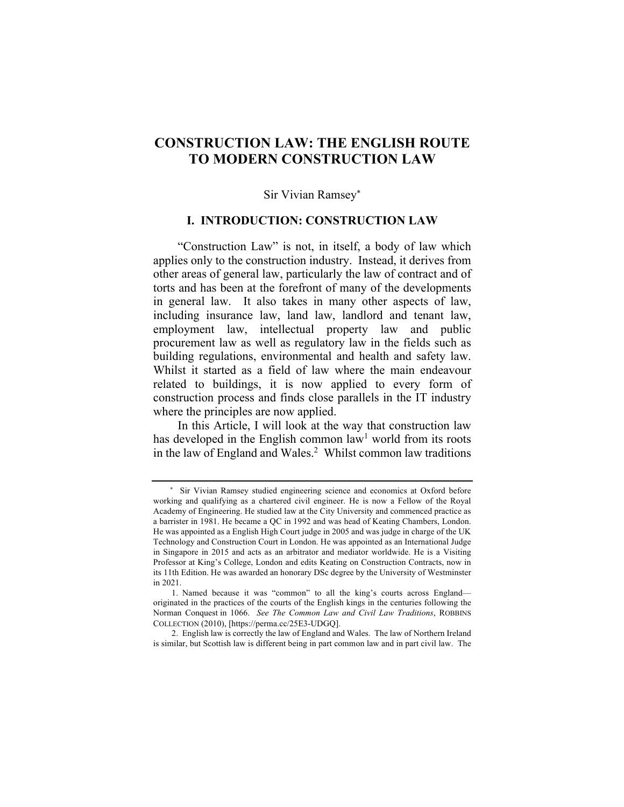# **CONSTRUCTION LAW: THE ENGLISH ROUTE TO MODERN CONSTRUCTION LAW**

#### Sir Vivian Ramsey\*

## **I. INTRODUCTION: CONSTRUCTION LAW**

"Construction Law" is not, in itself, a body of law which applies only to the construction industry. Instead, it derives from other areas of general law, particularly the law of contract and of torts and has been at the forefront of many of the developments in general law. It also takes in many other aspects of law, including insurance law, land law, landlord and tenant law, employment law, intellectual property law and public procurement law as well as regulatory law in the fields such as building regulations, environmental and health and safety law. Whilst it started as a field of law where the main endeavour related to buildings, it is now applied to every form of construction process and finds close parallels in the IT industry where the principles are now applied.

In this Article, I will look at the way that construction law has developed in the English common law<sup>1</sup> world from its roots in the law of England and Wales.<sup>2</sup> Whilst common law traditions

2. English law is correctly the law of England and Wales. The law of Northern Ireland is similar, but Scottish law is different being in part common law and in part civil law. The

\* Sir Vivian Ramsey studied engineering science and economics at Oxford before working and qualifying as a chartered civil engineer. He is now a Fellow of the Royal Academy of Engineering. He studied law at the City University and commenced practice as a barrister in 1981. He became a QC in 1992 and was head of Keating Chambers, London. He was appointed as a English High Court judge in 2005 and was judge in charge of the UK Technology and Construction Court in London. He was appointed as an International Judge in Singapore in 2015 and acts as an arbitrator and mediator worldwide. He is a Visiting Professor at King's College, London and edits Keating on Construction Contracts, now in its 11th Edition. He was awarded an honorary DSc degree by the University of Westminster in 2021.

<sup>1.</sup> Named because it was "common" to all the king's courts across England originated in the practices of the courts of the English kings in the centuries following the Norman Conquest in 1066. *See The Common Law and Civil Law Traditions*, ROBBINS COLLECTION (2010), [https://perma.cc/25E3-UDGQ].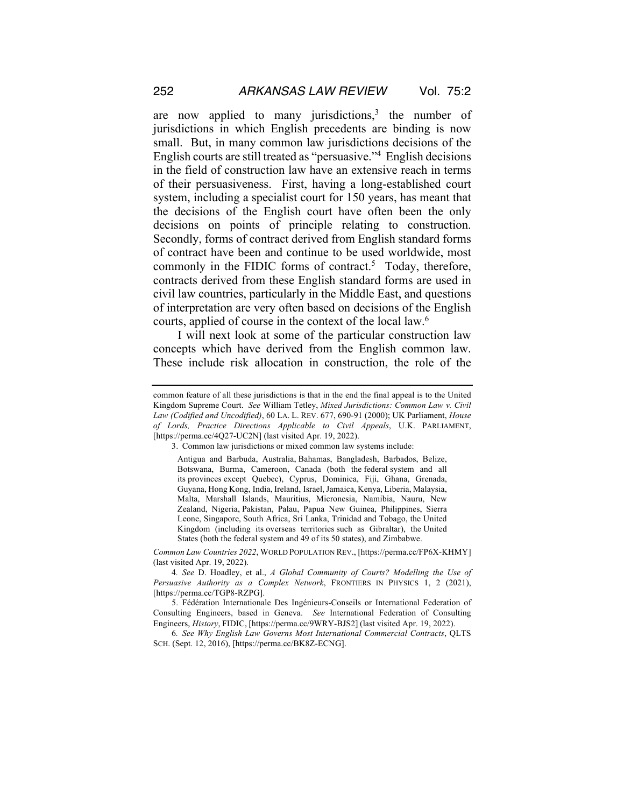are now applied to many jurisdictions, $3$  the number of jurisdictions in which English precedents are binding is now small. But, in many common law jurisdictions decisions of the English courts are still treated as "persuasive."4 English decisions in the field of construction law have an extensive reach in terms of their persuasiveness. First, having a long-established court system, including a specialist court for 150 years, has meant that the decisions of the English court have often been the only decisions on points of principle relating to construction. Secondly, forms of contract derived from English standard forms of contract have been and continue to be used worldwide, most commonly in the FIDIC forms of contract.<sup>5</sup> Today, therefore, contracts derived from these English standard forms are used in civil law countries, particularly in the Middle East, and questions of interpretation are very often based on decisions of the English courts, applied of course in the context of the local law.6

I will next look at some of the particular construction law concepts which have derived from the English common law. These include risk allocation in construction, the role of the

*Common Law Countries 2022*, WORLD POPULATION REV., [https://perma.cc/FP6X-KHMY] (last visited Apr. 19, 2022).

4*. See* D. Hoadley, et al., *A Global Community of Courts? Modelling the Use of*  Persuasive Authority as a Complex Network, FRONTIERS IN PHYSICS 1, 2 (2021), [https://perma.cc/TGP8-RZPG].

5. Fédération Internationale Des Ingénieurs-Conseils or International Federation of Consulting Engineers, based in Geneva. *See* International Federation of Consulting Engineers, *History*, FIDIC, [https://perma.cc/9WRY-BJS2] (last visited Apr. 19, 2022).

6*. See Why English Law Governs Most International Commercial Contracts*, QLTS SCH. (Sept. 12, 2016), [https://perma.cc/BK8Z-ECNG].

common feature of all these jurisdictions is that in the end the final appeal is to the United Kingdom Supreme Court. *See* William Tetley, *Mixed Jurisdictions: Common Law v. Civil Law (Codified and Uncodified)*, 60 LA. L. REV. 677, 690-91 (2000); UK Parliament, *House of Lords, Practice Directions Applicable to Civil Appeals*, U.K. PARLIAMENT, [https://perma.cc/4Q27-UC2N] (last visited Apr. 19, 2022).

<sup>3.</sup> Common law jurisdictions or mixed common law systems include:

Antigua and Barbuda, Australia, Bahamas, Bangladesh, Barbados, Belize, Botswana, Burma, Cameroon, Canada (both the federal system and all its provinces except Quebec), Cyprus, Dominica, Fiji, Ghana, Grenada, Guyana, Hong Kong, India, Ireland, Israel, Jamaica, Kenya, Liberia, Malaysia, Malta, Marshall Islands, Mauritius, Micronesia, Namibia, Nauru, New Zealand, Nigeria, Pakistan, Palau, Papua New Guinea, Philippines, Sierra Leone, Singapore, South Africa, Sri Lanka, Trinidad and Tobago, the United Kingdom (including its overseas territories such as Gibraltar), the United States (both the federal system and 49 of its 50 states), and Zimbabwe.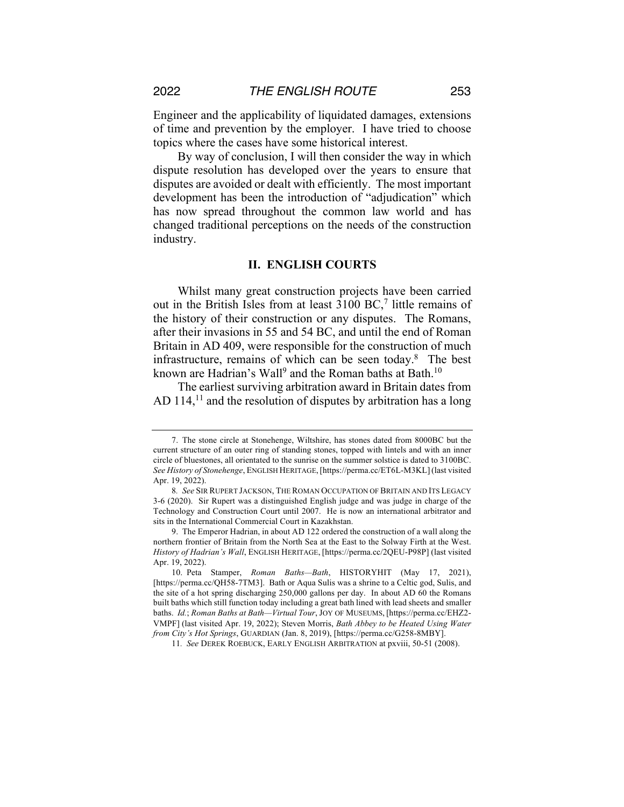Engineer and the applicability of liquidated damages, extensions of time and prevention by the employer. I have tried to choose topics where the cases have some historical interest.

By way of conclusion, I will then consider the way in which dispute resolution has developed over the years to ensure that disputes are avoided or dealt with efficiently. The most important development has been the introduction of "adjudication" which has now spread throughout the common law world and has changed traditional perceptions on the needs of the construction industry.

#### **II. ENGLISH COURTS**

Whilst many great construction projects have been carried out in the British Isles from at least 3100 BC,<sup>7</sup> little remains of the history of their construction or any disputes. The Romans, after their invasions in 55 and 54 BC, and until the end of Roman Britain in AD 409, were responsible for the construction of much infrastructure, remains of which can be seen today.<sup>8</sup> The best known are Hadrian's Wall<sup>9</sup> and the Roman baths at Bath.<sup>10</sup>

The earliest surviving arbitration award in Britain dates from AD  $114$ ,<sup>11</sup> and the resolution of disputes by arbitration has a long

<sup>7.</sup> The stone circle at Stonehenge, Wiltshire, has stones dated from 8000BC but the current structure of an outer ring of standing stones, topped with lintels and with an inner circle of bluestones, all orientated to the sunrise on the summer solstice is dated to 3100BC. *See History of Stonehenge*, ENGLISH HERITAGE,[https://perma.cc/ET6L-M3KL](last visited Apr. 19, 2022).

<sup>8</sup>*. See* SIR RUPERT JACKSON, THE ROMAN OCCUPATION OF BRITAIN AND ITS LEGACY 3-6 (2020). Sir Rupert was a distinguished English judge and was judge in charge of the Technology and Construction Court until 2007. He is now an international arbitrator and sits in the International Commercial Court in Kazakhstan.

<sup>9.</sup> The Emperor Hadrian, in about AD 122 ordered the construction of a wall along the northern frontier of Britain from the North Sea at the East to the Solway Firth at the West. *History of Hadrian's Wall*, ENGLISH HERITAGE, [https://perma.cc/2QEU-P98P] (last visited Apr. 19, 2022).

<sup>10.</sup> Peta Stamper, *Roman Baths—Bath*, HISTORYHIT (May 17, 2021), [https://perma.cc/QH58-7TM3]. Bath or Aqua Sulis was a shrine to a Celtic god, Sulis, and the site of a hot spring discharging 250,000 gallons per day. In about AD 60 the Romans built baths which still function today including a great bath lined with lead sheets and smaller baths. *Id.*; *Roman Baths at Bath—Virtual Tour*, JOY OF MUSEUMS, [https://perma.cc/EHZ2- VMPF] (last visited Apr. 19, 2022); Steven Morris, *Bath Abbey to be Heated Using Water from City's Hot Springs*, GUARDIAN (Jan. 8, 2019), [https://perma.cc/G258-8MBY].

<sup>11</sup>*. See* DEREK ROEBUCK, EARLY ENGLISH ARBITRATION at pxviii, 50-51 (2008).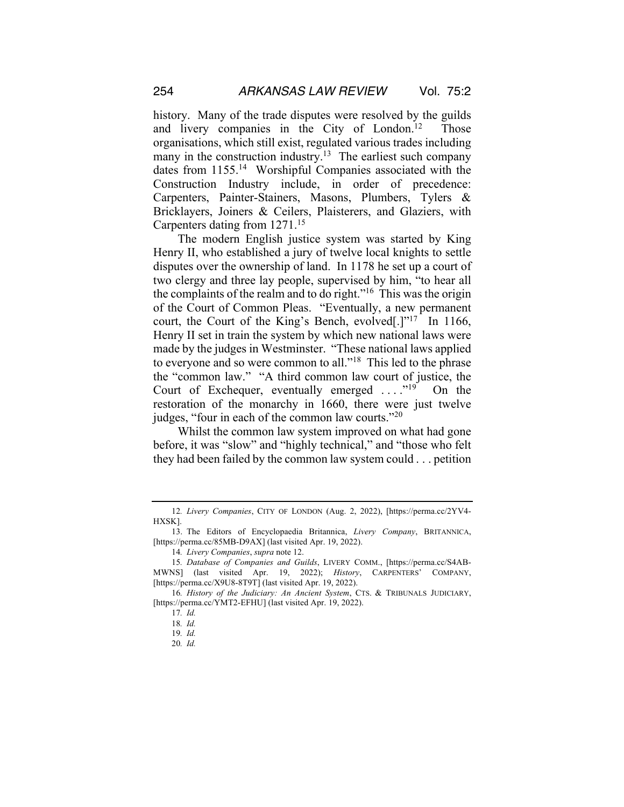history. Many of the trade disputes were resolved by the guilds and livery companies in the City of London.<sup>12</sup> Those organisations, which still exist, regulated various trades including many in the construction industry.<sup>13</sup> The earliest such company dates from 1155.<sup>14</sup> Worshipful Companies associated with the Construction Industry include, in order of precedence: Carpenters, Painter-Stainers, Masons, Plumbers, Tylers & Bricklayers, Joiners & Ceilers, Plaisterers, and Glaziers, with Carpenters dating from 1271.15

The modern English justice system was started by King Henry II, who established a jury of twelve local knights to settle disputes over the ownership of land. In 1178 he set up a court of two clergy and three lay people, supervised by him, "to hear all the complaints of the realm and to do right."16 This was the origin of the Court of Common Pleas. "Eventually, a new permanent court, the Court of the King's Bench, evolved[.]"<sup>17</sup> In 1166, Henry II set in train the system by which new national laws were made by the judges in Westminster. "These national laws applied to everyone and so were common to all."18 This led to the phrase the "common law." "A third common law court of justice, the Court of Exchequer, eventually emerged . . . ."19 On the restoration of the monarchy in 1660, there were just twelve judges, "four in each of the common law courts."20

Whilst the common law system improved on what had gone before, it was "slow" and "highly technical," and "those who felt they had been failed by the common law system could . . . petition

<sup>12</sup>*. Livery Companies*, CITY OF LONDON (Aug. 2, 2022), [https://perma.cc/2YV4- HXSK].

<sup>13.</sup> The Editors of Encyclopaedia Britannica, *Livery Company*, BRITANNICA, [https://perma.cc/85MB-D9AX] (last visited Apr. 19, 2022).

<sup>14</sup>*. Livery Companies*, *supra* note 12.

<sup>15</sup>*. Database of Companies and Guilds*, LIVERY COMM., [https://perma.cc/S4AB-MWNS] (last visited Apr. 19, 2022); *History*, CARPENTERS' COMPANY, [https://perma.cc/X9U8-8T9T] (last visited Apr. 19, 2022).

<sup>16</sup>*. History of the Judiciary: An Ancient System*, CTS. & TRIBUNALS JUDICIARY, [https://perma.cc/YMT2-EFHU] (last visited Apr. 19, 2022).

<sup>17</sup>*. Id.*

<sup>18</sup>*. Id.*

<sup>19</sup>*. Id.*

<sup>20</sup>*. Id.*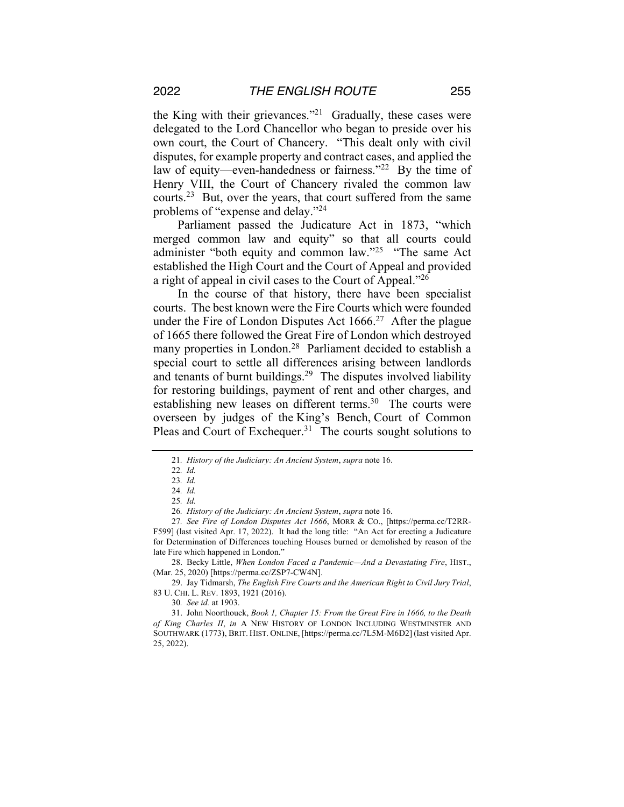the King with their grievances."21 Gradually, these cases were delegated to the Lord Chancellor who began to preside over his own court, the Court of Chancery. "This dealt only with civil disputes, for example property and contract cases, and applied the law of equity—even-handedness or fairness."22 By the time of Henry VIII, the Court of Chancery rivaled the common law courts.23 But, over the years, that court suffered from the same problems of "expense and delay."24

Parliament passed the Judicature Act in 1873, "which merged common law and equity" so that all courts could administer "both equity and common law."25 "The same Act established the High Court and the Court of Appeal and provided a right of appeal in civil cases to the Court of Appeal."<sup>26</sup>

In the course of that history, there have been specialist courts. The best known were the Fire Courts which were founded under the Fire of London Disputes Act  $1666<sup>27</sup>$  After the plague of 1665 there followed the Great Fire of London which destroyed many properties in London.28 Parliament decided to establish a special court to settle all differences arising between landlords and tenants of burnt buildings.<sup>29</sup> The disputes involved liability for restoring buildings, payment of rent and other charges, and establishing new leases on different terms.<sup>30</sup> The courts were overseen by judges of the King's Bench, Court of Common Pleas and Court of Exchequer. $31$  The courts sought solutions to

<sup>21</sup>*. History of the Judiciary: An Ancient System*, *supra* note 16.

<sup>22</sup>*. Id.*

<sup>23</sup>*. Id.*

<sup>24</sup>*. Id.*

<sup>25</sup>*. Id.*

<sup>26</sup>*. History of the Judiciary: An Ancient System*, *supra* note 16.

<sup>27</sup>*. See Fire of London Disputes Act 1666*, MORR & CO., [https://perma.cc/T2RR-F599] (last visited Apr. 17, 2022). It had the long title: "An Act for erecting a Judicature for Determination of Differences touching Houses burned or demolished by reason of the late Fire which happened in London."

<sup>28.</sup> Becky Little, *When London Faced a Pandemic—And a Devastating Fire*, HIST., (Mar. 25, 2020) [https://perma.cc/ZSP7-CW4N].

<sup>29.</sup> Jay Tidmarsh, *The English Fire Courts and the American Right to Civil Jury Trial*, 83 U. CHI. L. REV. 1893, 1921 (2016).

<sup>30</sup>*. See id.* at 1903.

<sup>31.</sup> John Noorthouck, *Book 1, Chapter 15: From the Great Fire in 1666, to the Death of King Charles II*, *in* A NEW HISTORY OF LONDON INCLUDING WESTMINSTER AND SOUTHWARK (1773), BRIT. HIST. ONLINE, [https://perma.cc/7L5M-M6D2] (last visited Apr. 25, 2022).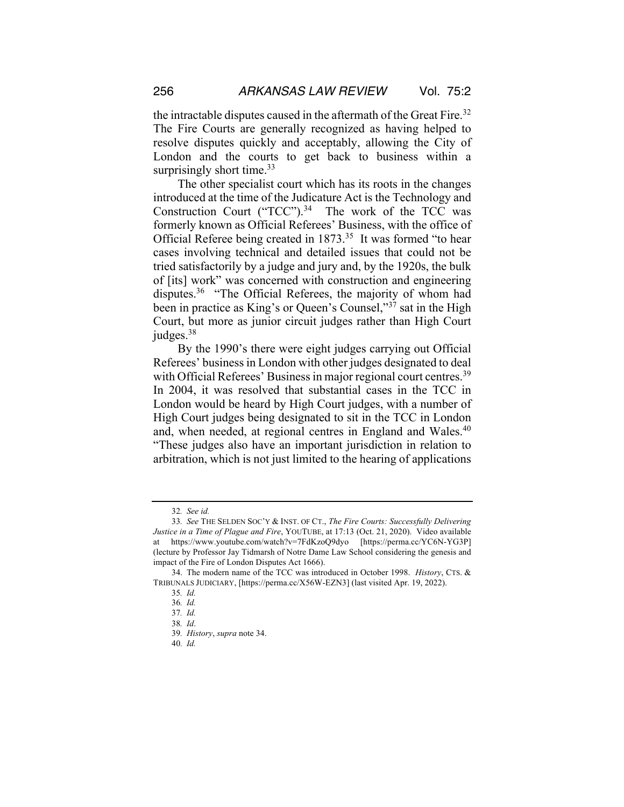the intractable disputes caused in the aftermath of the Great Fire.<sup>32</sup> The Fire Courts are generally recognized as having helped to resolve disputes quickly and acceptably, allowing the City of London and the courts to get back to business within a surprisingly short time. $33$ 

The other specialist court which has its roots in the changes introduced at the time of the Judicature Act is the Technology and Construction Court ("TCC"). $34$  The work of the TCC was formerly known as Official Referees' Business, with the office of Official Referee being created in 1873.35 It was formed "to hear cases involving technical and detailed issues that could not be tried satisfactorily by a judge and jury and, by the 1920s, the bulk of [its] work" was concerned with construction and engineering disputes.36 "The Official Referees, the majority of whom had been in practice as King's or Queen's Counsel,"37 sat in the High Court, but more as junior circuit judges rather than High Court judges.<sup>38</sup>

By the 1990's there were eight judges carrying out Official Referees' business in London with other judges designated to deal with Official Referees' Business in major regional court centres.<sup>39</sup> In 2004, it was resolved that substantial cases in the TCC in London would be heard by High Court judges, with a number of High Court judges being designated to sit in the TCC in London and, when needed, at regional centres in England and Wales.<sup>40</sup> "These judges also have an important jurisdiction in relation to arbitration, which is not just limited to the hearing of applications

<sup>32</sup>*. See id.*

<sup>33</sup>*. See* THE SELDEN SOC'Y & INST. OF CT., *The Fire Courts: Successfully Delivering Justice in a Time of Plague and Fire*, YOUTUBE, at 17:13 (Oct. 21, 2020). Video available at https://www.youtube.com/watch?v=7FdKzoQ9dyo [https://perma.cc/YC6N-YG3P] (lecture by Professor Jay Tidmarsh of Notre Dame Law School considering the genesis and impact of the Fire of London Disputes Act 1666).

<sup>34.</sup> The modern name of the TCC was introduced in October 1998. *History*, CTS. & TRIBUNALS JUDICIARY, [https://perma.cc/X56W-EZN3] (last visited Apr. 19, 2022).

<sup>35</sup>*. Id.*

<sup>36</sup>*. Id.* 37*. Id.*

<sup>38</sup>*. Id*.

<sup>39</sup>*. History*, *supra* note 34.

<sup>40</sup>*. Id.*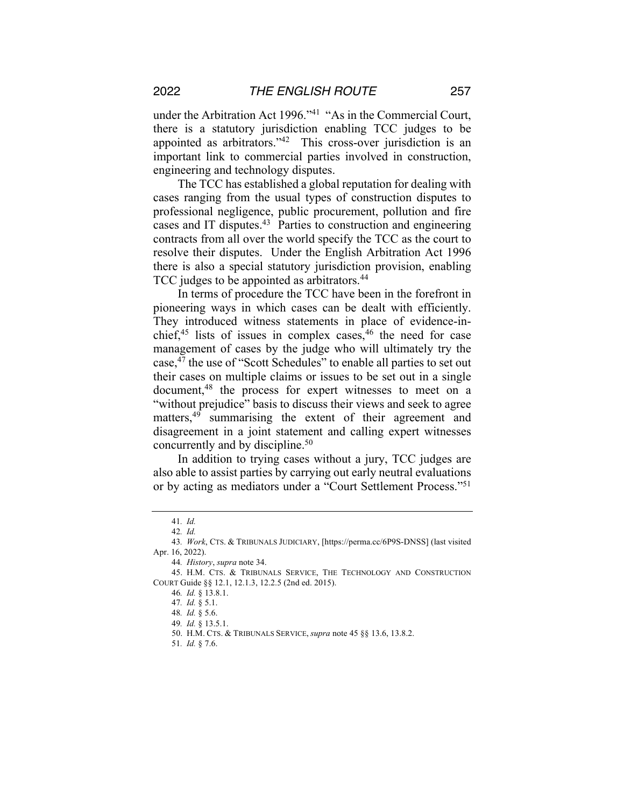under the Arbitration Act 1996."41 "As in the Commercial Court, there is a statutory jurisdiction enabling TCC judges to be appointed as arbitrators."42 This cross-over jurisdiction is an important link to commercial parties involved in construction, engineering and technology disputes.

The TCC has established a global reputation for dealing with cases ranging from the usual types of construction disputes to professional negligence, public procurement, pollution and fire cases and IT disputes.43 Parties to construction and engineering contracts from all over the world specify the TCC as the court to resolve their disputes. Under the English Arbitration Act 1996 there is also a special statutory jurisdiction provision, enabling TCC judges to be appointed as arbitrators.<sup>44</sup>

In terms of procedure the TCC have been in the forefront in pioneering ways in which cases can be dealt with efficiently. They introduced witness statements in place of evidence-inchief, $45$  lists of issues in complex cases, $46$  the need for case management of cases by the judge who will ultimately try the case,47 the use of "Scott Schedules" to enable all parties to set out their cases on multiple claims or issues to be set out in a single document,<sup>48</sup> the process for expert witnesses to meet on a "without prejudice" basis to discuss their views and seek to agree matters,<sup>49</sup> summarising the extent of their agreement and disagreement in a joint statement and calling expert witnesses concurrently and by discipline.<sup>50</sup>

In addition to trying cases without a jury, TCC judges are also able to assist parties by carrying out early neutral evaluations or by acting as mediators under a "Court Settlement Process."51

<sup>41</sup>*. Id.* 

<sup>42</sup>*. Id.*

<sup>43</sup>*. Work*, CTS. & TRIBUNALS JUDICIARY, [https://perma.cc/6P9S-DNSS] (last visited Apr. 16, 2022).

<sup>44</sup>*. History*, *supra* note 34.

<sup>45.</sup> H.M. CTS. & TRIBUNALS SERVICE, THE TECHNOLOGY AND CONSTRUCTION COURT Guide §§ 12.1, 12.1.3, 12.2.5 (2nd ed. 2015).

<sup>46</sup>*. Id.* § 13.8.1.

<sup>47</sup>*. Id.* § 5.1.

<sup>48</sup>*. Id.* § 5.6.

<sup>49</sup>*. Id.* § 13.5.1.

<sup>50.</sup> H.M. CTS. & TRIBUNALS SERVICE, *supra* note 45 §§ 13.6, 13.8.2.

<sup>51</sup>*. Id.* § 7.6.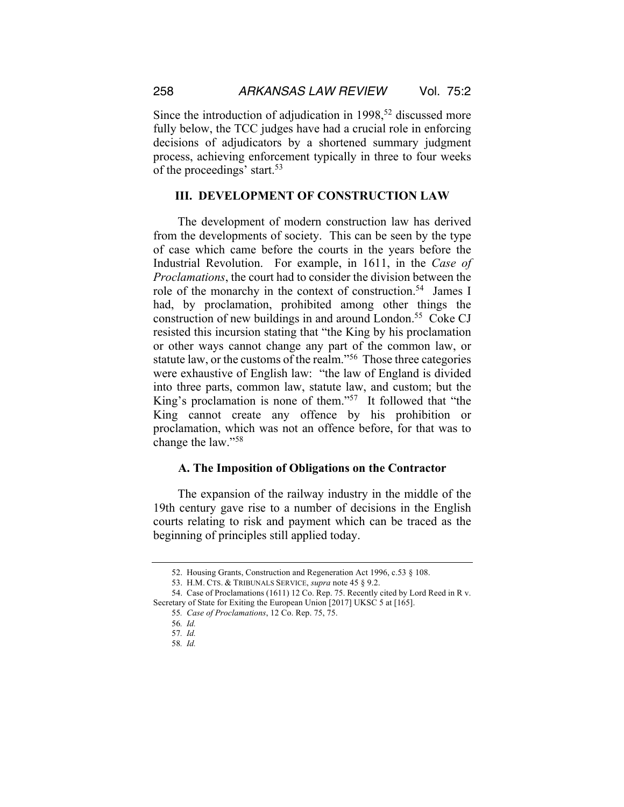Since the introduction of adjudication in  $1998$ <sup>52</sup> discussed more fully below, the TCC judges have had a crucial role in enforcing decisions of adjudicators by a shortened summary judgment process, achieving enforcement typically in three to four weeks of the proceedings' start.<sup>53</sup>

### **III. DEVELOPMENT OF CONSTRUCTION LAW**

The development of modern construction law has derived from the developments of society. This can be seen by the type of case which came before the courts in the years before the Industrial Revolution. For example, in 1611, in the *Case of Proclamations*, the court had to consider the division between the role of the monarchy in the context of construction.<sup>54</sup> James I had, by proclamation, prohibited among other things the construction of new buildings in and around London.<sup>55</sup> Coke CJ resisted this incursion stating that "the King by his proclamation or other ways cannot change any part of the common law, or statute law, or the customs of the realm."56 Those three categories were exhaustive of English law: "the law of England is divided into three parts, common law, statute law, and custom; but the King's proclamation is none of them."57 It followed that "the King cannot create any offence by his prohibition or proclamation, which was not an offence before, for that was to change the law."58

#### **A. The Imposition of Obligations on the Contractor**

The expansion of the railway industry in the middle of the 19th century gave rise to a number of decisions in the English courts relating to risk and payment which can be traced as the beginning of principles still applied today.

<sup>52.</sup> Housing Grants, Construction and Regeneration Act 1996, c.53 § 108.

<sup>53.</sup> H.M. CTS. & TRIBUNALS SERVICE, *supra* note 45 § 9.2.

<sup>54.</sup> Case of Proclamations (1611) 12 Co. Rep. 75. Recently cited by Lord Reed in R v. Secretary of State for Exiting the European Union [2017] UKSC 5 at [165].

<sup>55</sup>*. Case of Proclamations*, 12 Co. Rep. 75, 75.

<sup>56</sup>*. Id.*

<sup>57</sup>*. Id.*

<sup>58</sup>*. Id.*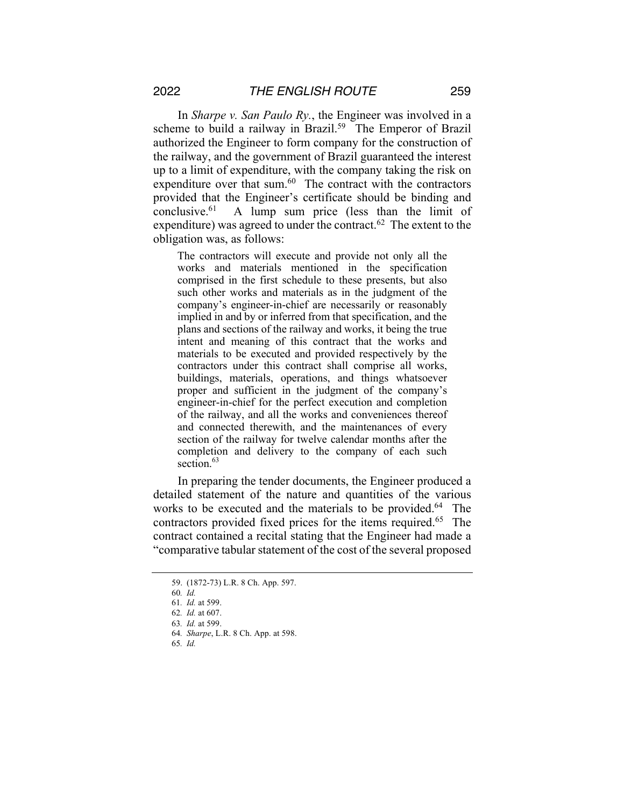In *Sharpe v. San Paulo Ry.*, the Engineer was involved in a scheme to build a railway in Brazil.<sup>59</sup> The Emperor of Brazil authorized the Engineer to form company for the construction of the railway, and the government of Brazil guaranteed the interest up to a limit of expenditure, with the company taking the risk on expenditure over that sum.<sup>60</sup> The contract with the contractors provided that the Engineer's certificate should be binding and conclusive.<sup>61</sup> A lump sum price (less than the limit of expenditure) was agreed to under the contract.<sup>62</sup> The extent to the obligation was, as follows:

The contractors will execute and provide not only all the works and materials mentioned in the specification comprised in the first schedule to these presents, but also such other works and materials as in the judgment of the company's engineer-in-chief are necessarily or reasonably implied in and by or inferred from that specification, and the plans and sections of the railway and works, it being the true intent and meaning of this contract that the works and materials to be executed and provided respectively by the contractors under this contract shall comprise all works, buildings, materials, operations, and things whatsoever proper and sufficient in the judgment of the company's engineer-in-chief for the perfect execution and completion of the railway, and all the works and conveniences thereof and connected therewith, and the maintenances of every section of the railway for twelve calendar months after the completion and delivery to the company of each such section.<sup>63</sup>

In preparing the tender documents, the Engineer produced a detailed statement of the nature and quantities of the various works to be executed and the materials to be provided.<sup>64</sup> The contractors provided fixed prices for the items required.<sup>65</sup> The contract contained a recital stating that the Engineer had made a "comparative tabular statement of the cost of the several proposed

65*. Id.*

<sup>59.</sup> (1872-73) L.R. 8 Ch. App. 597.

<sup>60</sup>*. Id.* 

<sup>61</sup>*. Id.* at 599.

<sup>62</sup>*. Id.* at 607.

<sup>63</sup>*. Id.* at 599.

<sup>64</sup>*. Sharpe*, L.R. 8 Ch. App. at 598.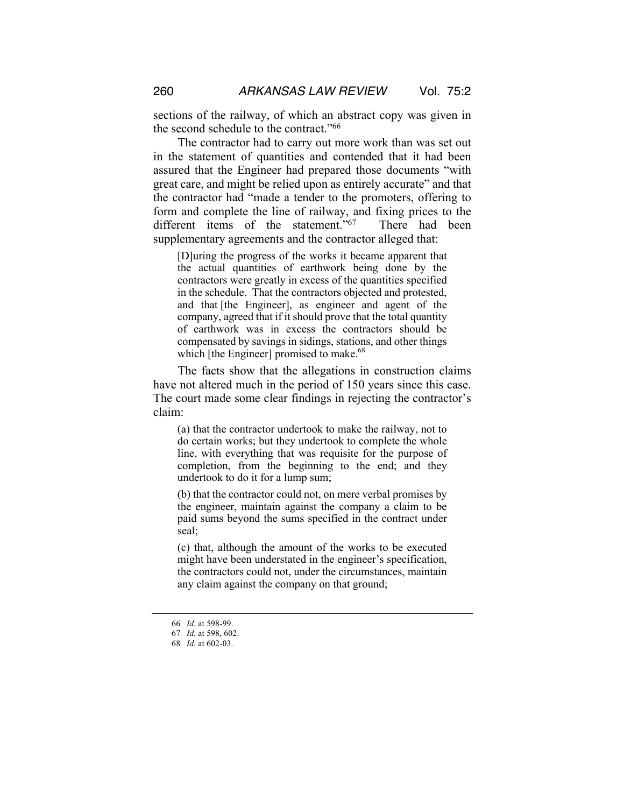sections of the railway, of which an abstract copy was given in the second schedule to the contract."66

The contractor had to carry out more work than was set out in the statement of quantities and contended that it had been assured that the Engineer had prepared those documents "with great care, and might be relied upon as entirely accurate" and that the contractor had "made a tender to the promoters, offering to form and complete the line of railway, and fixing prices to the different items of the statement."<sup>67</sup> There had been supplementary agreements and the contractor alleged that:

[D]uring the progress of the works it became apparent that the actual quantities of earthwork being done by the contractors were greatly in excess of the quantities specified in the schedule. That the contractors objected and protested, and that [the Engineer], as engineer and agent of the company, agreed that if it should prove that the total quantity of earthwork was in excess the contractors should be compensated by savings in sidings, stations, and other things which [the Engineer] promised to make.<sup>68</sup>

The facts show that the allegations in construction claims have not altered much in the period of 150 years since this case. The court made some clear findings in rejecting the contractor's claim:

(a) that the contractor undertook to make the railway, not to do certain works; but they undertook to complete the whole line, with everything that was requisite for the purpose of completion, from the beginning to the end; and they undertook to do it for a lump sum;

(b) that the contractor could not, on mere verbal promises by the engineer, maintain against the company a claim to be paid sums beyond the sums specified in the contract under seal;

(c) that, although the amount of the works to be executed might have been understated in the engineer's specification, the contractors could not, under the circumstances, maintain any claim against the company on that ground;

<sup>66</sup>*. Id.* at 598-99.

<sup>67</sup>*. Id.* at 598, 602.

<sup>68</sup>*. Id.* at 602-03.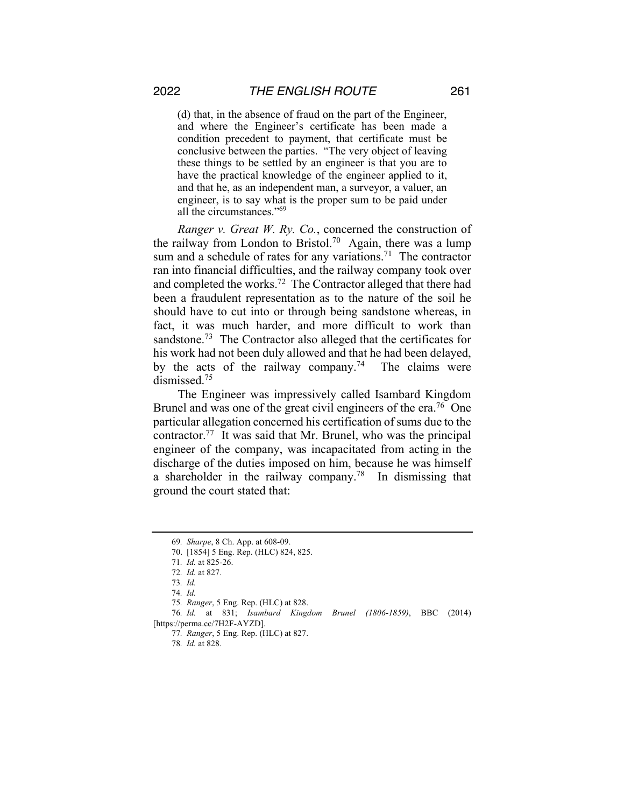(d) that, in the absence of fraud on the part of the Engineer, and where the Engineer's certificate has been made a condition precedent to payment, that certificate must be conclusive between the parties. "The very object of leaving these things to be settled by an engineer is that you are to have the practical knowledge of the engineer applied to it, and that he, as an independent man, a surveyor, a valuer, an engineer, is to say what is the proper sum to be paid under all the circumstances."<sup>69</sup>

*Ranger v. Great W. Ry. Co.*, concerned the construction of the railway from London to Bristol.<sup>70</sup> Again, there was a lump sum and a schedule of rates for any variations.<sup>71</sup> The contractor ran into financial difficulties, and the railway company took over and completed the works.72 The Contractor alleged that there had been a fraudulent representation as to the nature of the soil he should have to cut into or through being sandstone whereas, in fact, it was much harder, and more difficult to work than sandstone.<sup>73</sup> The Contractor also alleged that the certificates for his work had not been duly allowed and that he had been delayed, by the acts of the railway company.<sup>74</sup> The claims were dismissed.75

The Engineer was impressively called Isambard Kingdom Brunel and was one of the great civil engineers of the era.<sup>76</sup> One particular allegation concerned his certification of sums due to the contractor.77 It was said that Mr. Brunel, who was the principal engineer of the company, was incapacitated from acting in the discharge of the duties imposed on him, because he was himself a shareholder in the railway company.<sup>78</sup> In dismissing that ground the court stated that:

<sup>69</sup>*. Sharpe*, 8 Ch. App. at 608-09.

<sup>70.</sup> [1854] 5 Eng. Rep. (HLC) 824, 825.

<sup>71</sup>*. Id.* at 825-26.

<sup>72</sup>*. Id.* at 827.

<sup>73</sup>*. Id.*

<sup>74</sup>*. Id.* 

<sup>75</sup>*. Ranger*, 5 Eng. Rep. (HLC) at 828.

<sup>76</sup>*. Id.* at 831; *Isambard Kingdom Brunel (1806-1859)*, BBC (2014) [https://perma.cc/7H2F-AYZD].

<sup>77</sup>*. Ranger*, 5 Eng. Rep. (HLC) at 827.

<sup>78</sup>*. Id.* at 828.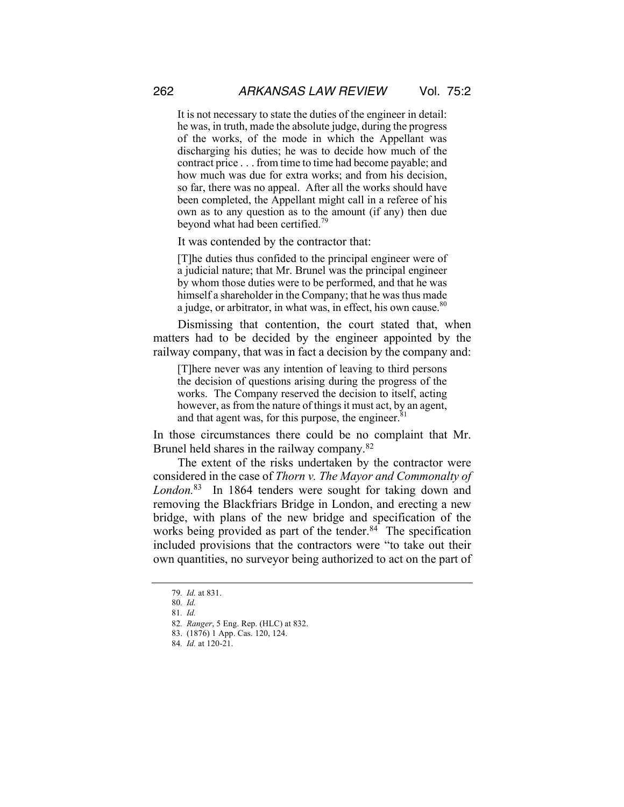It is not necessary to state the duties of the engineer in detail: he was, in truth, made the absolute judge, during the progress of the works, of the mode in which the Appellant was discharging his duties; he was to decide how much of the contract price . . . from time to time had become payable; and how much was due for extra works; and from his decision, so far, there was no appeal. After all the works should have been completed, the Appellant might call in a referee of his own as to any question as to the amount (if any) then due beyond what had been certified.<sup>79</sup>

It was contended by the contractor that:

[T]he duties thus confided to the principal engineer were of a judicial nature; that Mr. Brunel was the principal engineer by whom those duties were to be performed, and that he was himself a shareholder in the Company; that he was thus made a judge, or arbitrator, in what was, in effect, his own cause.<sup>80</sup>

Dismissing that contention, the court stated that, when matters had to be decided by the engineer appointed by the railway company, that was in fact a decision by the company and:

[T]here never was any intention of leaving to third persons the decision of questions arising during the progress of the works. The Company reserved the decision to itself, acting however, as from the nature of things it must act, by an agent, and that agent was, for this purpose, the engineer. $81$ 

In those circumstances there could be no complaint that Mr. Brunel held shares in the railway company.82

The extent of the risks undertaken by the contractor were considered in the case of *Thorn v. The Mayor and Commonalty of London.*83 In 1864 tenders were sought for taking down and removing the Blackfriars Bridge in London, and erecting a new bridge, with plans of the new bridge and specification of the works being provided as part of the tender.<sup>84</sup> The specification included provisions that the contractors were "to take out their own quantities, no surveyor being authorized to act on the part of

<sup>79</sup>*. Id.* at 831.

<sup>80</sup>*. Id.*

<sup>81</sup>*. Id.*

<sup>82</sup>*. Ranger*, 5 Eng. Rep. (HLC) at 832.

<sup>83.</sup> (1876) 1 App. Cas. 120, 124.

<sup>84</sup>*. Id.* at 120-21.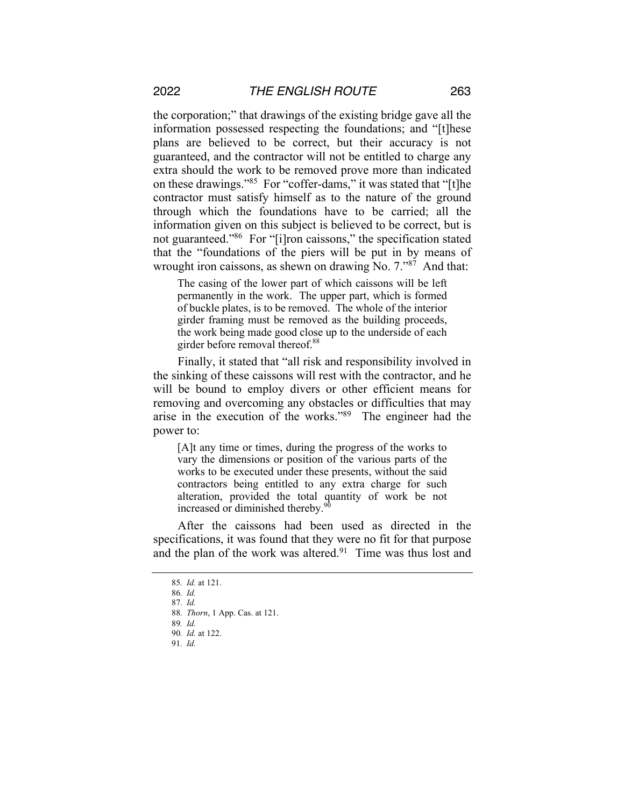the corporation;" that drawings of the existing bridge gave all the information possessed respecting the foundations; and "[t]hese plans are believed to be correct, but their accuracy is not guaranteed, and the contractor will not be entitled to charge any extra should the work to be removed prove more than indicated on these drawings."85 For "coffer-dams," it was stated that "[t]he contractor must satisfy himself as to the nature of the ground through which the foundations have to be carried; all the information given on this subject is believed to be correct, but is not guaranteed."86 For "[i]ron caissons," the specification stated that the "foundations of the piers will be put in by means of wrought iron caissons, as shewn on drawing No. 7."<sup>87</sup> And that:

The casing of the lower part of which caissons will be left permanently in the work. The upper part, which is formed of buckle plates, is to be removed. The whole of the interior girder framing must be removed as the building proceeds, the work being made good close up to the underside of each girder before removal thereof.<sup>88</sup>

Finally, it stated that "all risk and responsibility involved in the sinking of these caissons will rest with the contractor, and he will be bound to employ divers or other efficient means for removing and overcoming any obstacles or difficulties that may arise in the execution of the works."89 The engineer had the power to:

[A]t any time or times, during the progress of the works to vary the dimensions or position of the various parts of the works to be executed under these presents, without the said contractors being entitled to any extra charge for such alteration, provided the total quantity of work be not increased or diminished thereby.<sup>90</sup>

After the caissons had been used as directed in the specifications, it was found that they were no fit for that purpose and the plan of the work was altered. $91$  Time was thus lost and

91*. Id.*

<sup>85</sup>*. Id.* at 121.

<sup>86</sup>*. Id.*

<sup>87</sup>*. Id.*

<sup>88</sup>*. Thorn*, 1 App. Cas. at 121.

<sup>89</sup>*. Id.*

<sup>90</sup>*. Id.* at 122.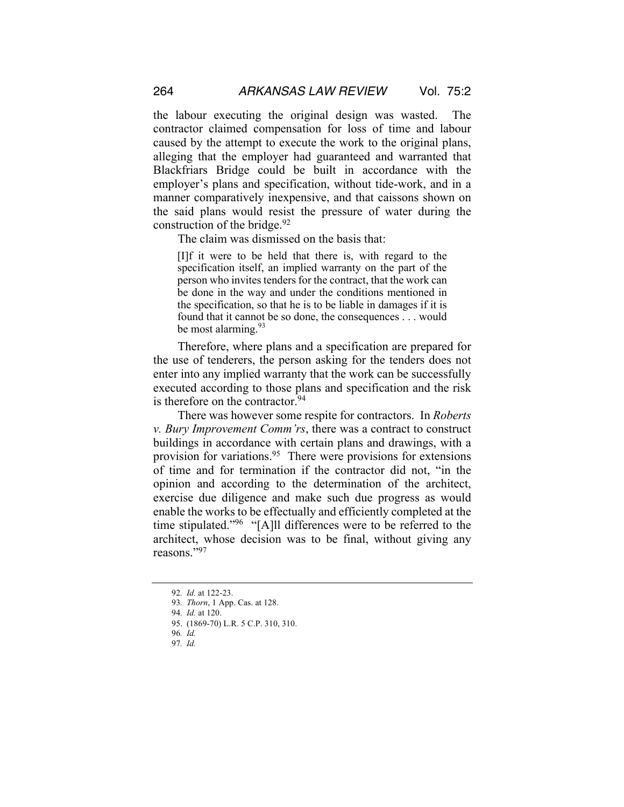the labour executing the original design was wasted. The contractor claimed compensation for loss of time and labour caused by the attempt to execute the work to the original plans, alleging that the employer had guaranteed and warranted that Blackfriars Bridge could be built in accordance with the employer's plans and specification, without tide-work, and in a manner comparatively inexpensive, and that caissons shown on the said plans would resist the pressure of water during the construction of the bridge.  $92$ 

The claim was dismissed on the basis that:

[I]f it were to be held that there is, with regard to the specification itself, an implied warranty on the part of the person who invites tenders for the contract, that the work can be done in the way and under the conditions mentioned in the specification, so that he is to be liable in damages if it is found that it cannot be so done, the consequences . . . would be most alarming.<sup>9</sup>

Therefore, where plans and a specification are prepared for the use of tenderers, the person asking for the tenders does not enter into any implied warranty that the work can be successfully executed according to those plans and specification and the risk is therefore on the contractor.<sup>94</sup>

There was however some respite for contractors. In *Roberts v. Bury Improvement Comm'rs*, there was a contract to construct buildings in accordance with certain plans and drawings, with a provision for variations.<sup>95</sup> There were provisions for extensions of time and for termination if the contractor did not, "in the opinion and according to the determination of the architect, exercise due diligence and make such due progress as would enable the works to be effectually and efficiently completed at the time stipulated."96 "[A]ll differences were to be referred to the architect, whose decision was to be final, without giving any reasons."97

<sup>92</sup>*. Id.* at 122-23.

<sup>93</sup>*. Thorn*, 1 App. Cas. at 128.

<sup>94</sup>*. Id.* at 120.

<sup>95.</sup> (1869-70) L.R. 5 C.P. 310, 310.

<sup>96</sup>*. Id.*

<sup>97</sup>*. Id.*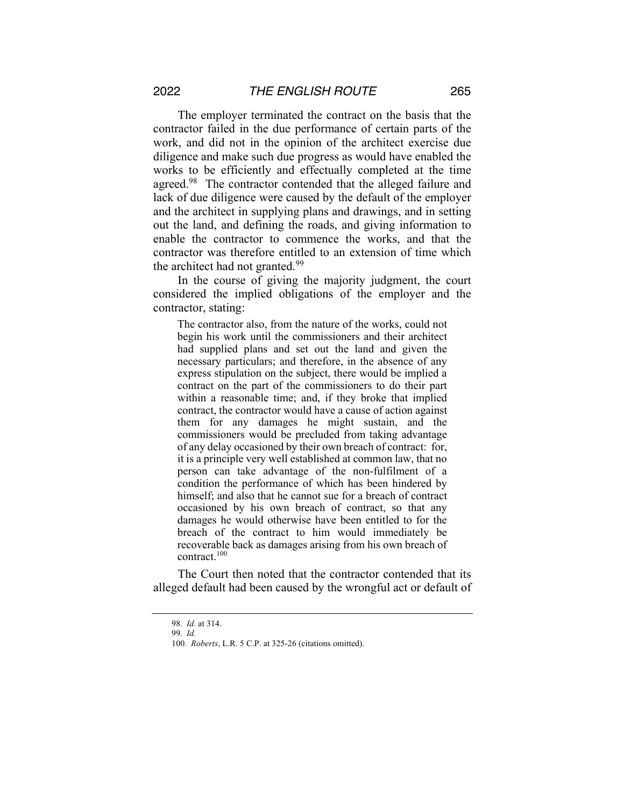The employer terminated the contract on the basis that the contractor failed in the due performance of certain parts of the work, and did not in the opinion of the architect exercise due diligence and make such due progress as would have enabled the works to be efficiently and effectually completed at the time agreed.<sup>98</sup> The contractor contended that the alleged failure and lack of due diligence were caused by the default of the employer and the architect in supplying plans and drawings, and in setting out the land, and defining the roads, and giving information to enable the contractor to commence the works, and that the contractor was therefore entitled to an extension of time which the architect had not granted.<sup>99</sup>

In the course of giving the majority judgment, the court considered the implied obligations of the employer and the contractor, stating:

The contractor also, from the nature of the works, could not begin his work until the commissioners and their architect had supplied plans and set out the land and given the necessary particulars; and therefore, in the absence of any express stipulation on the subject, there would be implied a contract on the part of the commissioners to do their part within a reasonable time; and, if they broke that implied contract, the contractor would have a cause of action against them for any damages he might sustain, and the commissioners would be precluded from taking advantage of any delay occasioned by their own breach of contract: for, it is a principle very well established at common law, that no person can take advantage of the non-fulfilment of a condition the performance of which has been hindered by himself: and also that he cannot sue for a breach of contract occasioned by his own breach of contract, so that any damages he would otherwise have been entitled to for the breach of the contract to him would immediately be recoverable back as damages arising from his own breach of contract.100

The Court then noted that the contractor contended that its alleged default had been caused by the wrongful act or default of

<sup>98</sup>*. Id.* at 314.

<sup>99</sup>*. Id.*

<sup>100</sup>*. Roberts*, L.R. 5 C.P. at 325-26 (citations omitted).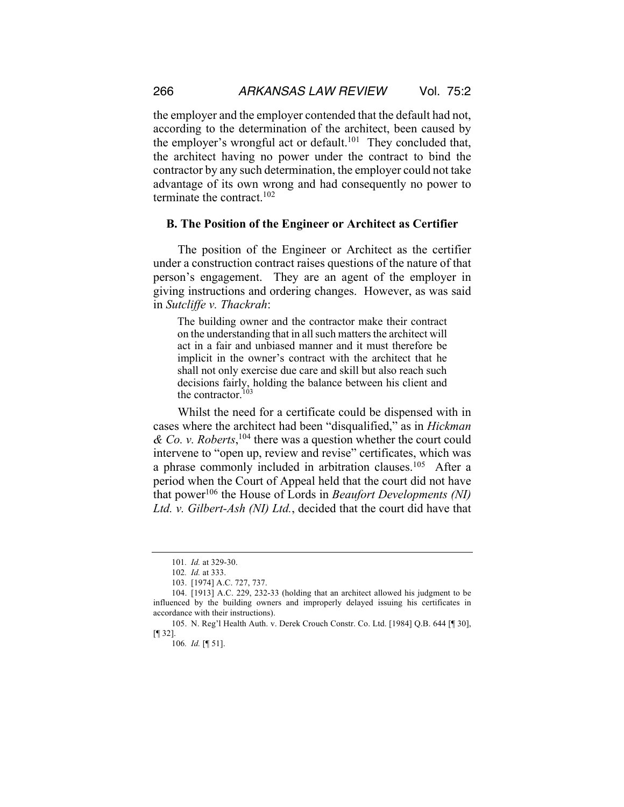the employer and the employer contended that the default had not, according to the determination of the architect, been caused by the employer's wrongful act or default.<sup>101</sup> They concluded that, the architect having no power under the contract to bind the contractor by any such determination, the employer could not take advantage of its own wrong and had consequently no power to terminate the contract. $102$ 

# **B. The Position of the Engineer or Architect as Certifier**

The position of the Engineer or Architect as the certifier under a construction contract raises questions of the nature of that person's engagement. They are an agent of the employer in giving instructions and ordering changes. However, as was said in *Sutcliffe v. Thackrah*:

The building owner and the contractor make their contract on the understanding that in all such matters the architect will act in a fair and unbiased manner and it must therefore be implicit in the owner's contract with the architect that he shall not only exercise due care and skill but also reach such decisions fairly, holding the balance between his client and the contractor. $103$ 

Whilst the need for a certificate could be dispensed with in cases where the architect had been "disqualified," as in *Hickman & Co. v. Roberts*, <sup>104</sup> there was a question whether the court could intervene to "open up, review and revise" certificates, which was a phrase commonly included in arbitration clauses.<sup>105</sup> After a period when the Court of Appeal held that the court did not have that power<sup>106</sup> the House of Lords in *Beaufort Developments (NI) Ltd. v. Gilbert-Ash (NI) Ltd.*, decided that the court did have that

<sup>101</sup>*. Id.* at 329-30.

<sup>102</sup>*. Id.* at 333.

<sup>103.</sup> [1974] A.C. 727, 737.

<sup>104.</sup> [1913] A.C. 229, 232-33 (holding that an architect allowed his judgment to be influenced by the building owners and improperly delayed issuing his certificates in accordance with their instructions).

<sup>105.</sup> N. Reg'l Health Auth. v. Derek Crouch Constr. Co. Ltd. [1984] Q.B. 644 [¶ 30], [¶ 32].

<sup>106</sup>*. Id.* [¶ 51].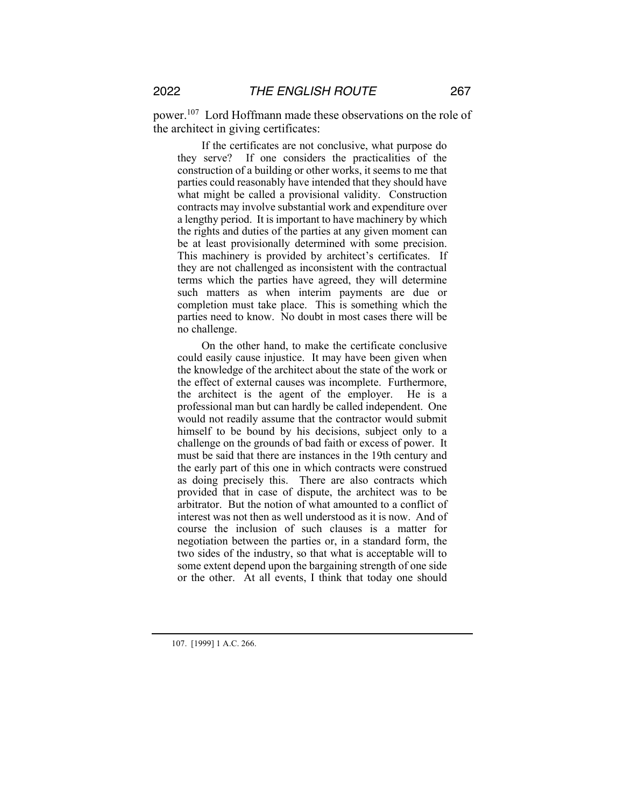power.107 Lord Hoffmann made these observations on the role of the architect in giving certificates:

If the certificates are not conclusive, what purpose do they serve? If one considers the practicalities of the construction of a building or other works, it seems to me that parties could reasonably have intended that they should have what might be called a provisional validity. Construction contracts may involve substantial work and expenditure over a lengthy period. It is important to have machinery by which the rights and duties of the parties at any given moment can be at least provisionally determined with some precision. This machinery is provided by architect's certificates. If they are not challenged as inconsistent with the contractual terms which the parties have agreed, they will determine such matters as when interim payments are due or completion must take place. This is something which the parties need to know. No doubt in most cases there will be no challenge.

On the other hand, to make the certificate conclusive could easily cause injustice. It may have been given when the knowledge of the architect about the state of the work or the effect of external causes was incomplete. Furthermore, the architect is the agent of the employer. He is a professional man but can hardly be called independent. One would not readily assume that the contractor would submit himself to be bound by his decisions, subject only to a challenge on the grounds of bad faith or excess of power. It must be said that there are instances in the 19th century and the early part of this one in which contracts were construed as doing precisely this. There are also contracts which provided that in case of dispute, the architect was to be arbitrator. But the notion of what amounted to a conflict of interest was not then as well understood as it is now. And of course the inclusion of such clauses is a matter for negotiation between the parties or, in a standard form, the two sides of the industry, so that what is acceptable will to some extent depend upon the bargaining strength of one side or the other. At all events, I think that today one should

107. [1999] 1 A.C. 266.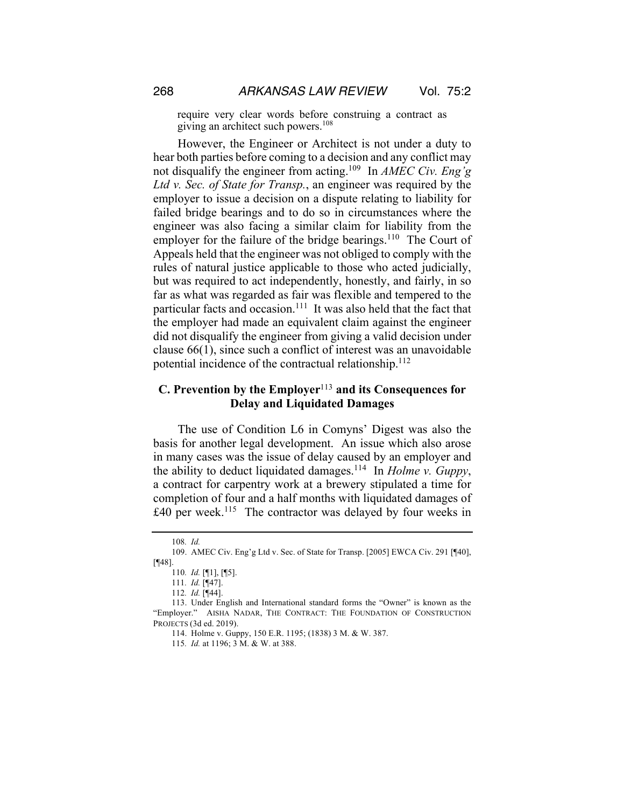require very clear words before construing a contract as giving an architect such powers.<sup>108</sup>

However, the Engineer or Architect is not under a duty to hear both parties before coming to a decision and any conflict may not disqualify the engineer from acting.109 In *AMEC Civ. Eng'g Ltd v. Sec. of State for Transp.*, an engineer was required by the employer to issue a decision on a dispute relating to liability for failed bridge bearings and to do so in circumstances where the engineer was also facing a similar claim for liability from the employer for the failure of the bridge bearings.<sup>110</sup> The Court of Appeals held that the engineer was not obliged to comply with the rules of natural justice applicable to those who acted judicially, but was required to act independently, honestly, and fairly, in so far as what was regarded as fair was flexible and tempered to the particular facts and occasion.<sup>111</sup> It was also held that the fact that the employer had made an equivalent claim against the engineer did not disqualify the engineer from giving a valid decision under clause 66(1), since such a conflict of interest was an unavoidable potential incidence of the contractual relationship.<sup>112</sup>

# **C. Prevention by the Employer**<sup>113</sup> **and its Consequences for Delay and Liquidated Damages**

The use of Condition L6 in Comyns' Digest was also the basis for another legal development. An issue which also arose in many cases was the issue of delay caused by an employer and the ability to deduct liquidated damages.114 In *Holme v. Guppy*, a contract for carpentry work at a brewery stipulated a time for completion of four and a half months with liquidated damages of  $\pounds$ 40 per week.<sup>115</sup> The contractor was delayed by four weeks in

<sup>108</sup>*. Id.*

<sup>109.</sup> AMEC Civ. Eng'g Ltd v. Sec. of State for Transp. [2005] EWCA Civ. 291 [¶40], [**[**48].

<sup>110</sup>*. Id.* [¶1], [¶5].

<sup>111</sup>*. Id.* [¶47].

<sup>112</sup>*. Id.* [¶44].

<sup>113.</sup> Under English and International standard forms the "Owner" is known as the "Employer." AISHA NADAR, THE CONTRACT: THE FOUNDATION OF CONSTRUCTION PROJECTS (3d ed. 2019).

<sup>114.</sup> Holme v. Guppy, 150 E.R. 1195; (1838) 3 M. & W. 387.

<sup>115</sup>*. Id.* at 1196; 3 M. & W. at 388.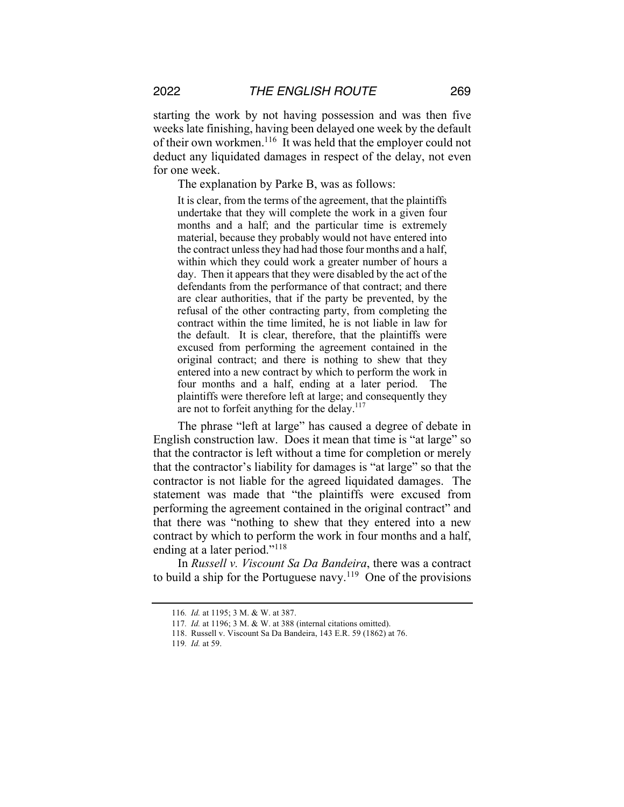starting the work by not having possession and was then five weeks late finishing, having been delayed one week by the default of their own workmen.<sup>116</sup> It was held that the employer could not deduct any liquidated damages in respect of the delay, not even for one week.

The explanation by Parke B, was as follows:

It is clear, from the terms of the agreement, that the plaintiffs undertake that they will complete the work in a given four months and a half; and the particular time is extremely material, because they probably would not have entered into the contract unless they had had those four months and a half, within which they could work a greater number of hours a day. Then it appears that they were disabled by the act of the defendants from the performance of that contract; and there are clear authorities, that if the party be prevented, by the refusal of the other contracting party, from completing the contract within the time limited, he is not liable in law for the default. It is clear, therefore, that the plaintiffs were excused from performing the agreement contained in the original contract; and there is nothing to shew that they entered into a new contract by which to perform the work in four months and a half, ending at a later period. The plaintiffs were therefore left at large; and consequently they are not to forfeit anything for the delay.<sup>117</sup>

The phrase "left at large" has caused a degree of debate in English construction law. Does it mean that time is "at large" so that the contractor is left without a time for completion or merely that the contractor's liability for damages is "at large" so that the contractor is not liable for the agreed liquidated damages. The statement was made that "the plaintiffs were excused from performing the agreement contained in the original contract" and that there was "nothing to shew that they entered into a new contract by which to perform the work in four months and a half, ending at a later period."<sup>118</sup>

In *Russell v. Viscount Sa Da Bandeira*, there was a contract to build a ship for the Portuguese navy.<sup>119</sup> One of the provisions

<sup>116</sup>*. Id.* at 1195; 3 M. & W. at 387.

<sup>117</sup>*. Id.* at 1196; 3 M. & W. at 388 (internal citations omitted).

<sup>118.</sup> Russell v. Viscount Sa Da Bandeira, 143 E.R. 59 (1862) at 76.

<sup>119</sup>*. Id.* at 59.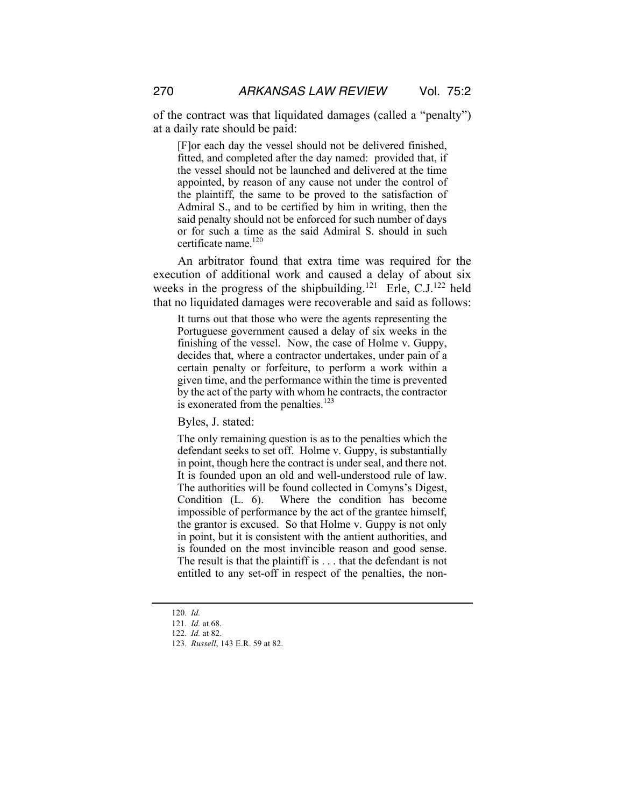of the contract was that liquidated damages (called a "penalty") at a daily rate should be paid:

[F]or each day the vessel should not be delivered finished, fitted, and completed after the day named: provided that, if the vessel should not be launched and delivered at the time appointed, by reason of any cause not under the control of the plaintiff, the same to be proved to the satisfaction of Admiral S., and to be certified by him in writing, then the said penalty should not be enforced for such number of days or for such a time as the said Admiral S. should in such certificate name.<sup>120</sup>

An arbitrator found that extra time was required for the execution of additional work and caused a delay of about six weeks in the progress of the shipbuilding.<sup>121</sup> Erle, C.J.<sup>122</sup> held that no liquidated damages were recoverable and said as follows:

It turns out that those who were the agents representing the Portuguese government caused a delay of six weeks in the finishing of the vessel. Now, the case of Holme v. Guppy, decides that, where a contractor undertakes, under pain of a certain penalty or forfeiture, to perform a work within a given time, and the performance within the time is prevented by the act of the party with whom he contracts, the contractor is exonerated from the penalties.<sup>123</sup>

Byles, J. stated:

The only remaining question is as to the penalties which the defendant seeks to set off. Holme v. Guppy, is substantially in point, though here the contract is under seal, and there not. It is founded upon an old and well-understood rule of law. The authorities will be found collected in Comyns's Digest, Condition (L. 6). Where the condition has become impossible of performance by the act of the grantee himself, the grantor is excused. So that Holme v. Guppy is not only in point, but it is consistent with the antient authorities, and is founded on the most invincible reason and good sense. The result is that the plaintiff is . . . that the defendant is not entitled to any set-off in respect of the penalties, the non-

<sup>120</sup>*. Id.* 

<sup>121</sup>*. Id.* at 68.

<sup>122</sup>*. Id.* at 82.

<sup>123</sup>*. Russell*, 143 E.R. 59 at 82.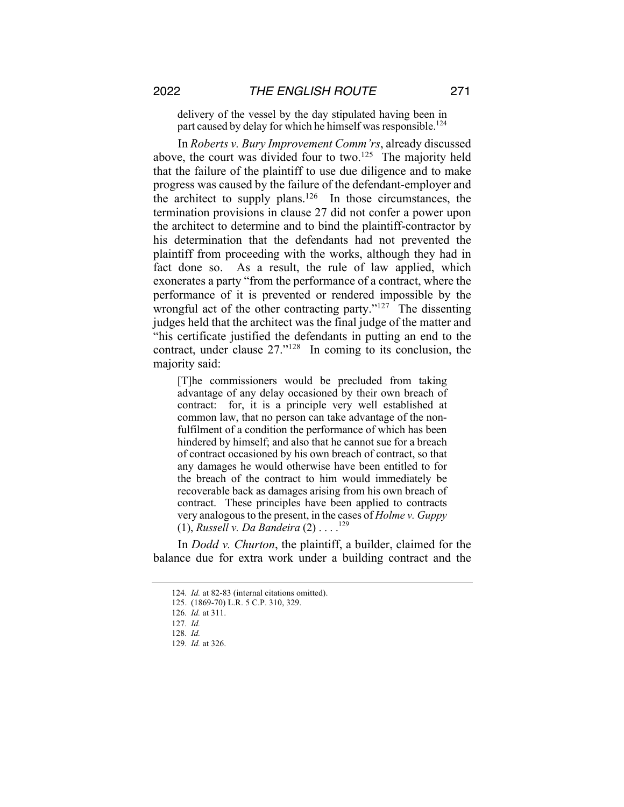delivery of the vessel by the day stipulated having been in part caused by delay for which he himself was responsible.<sup>124</sup>

In *Roberts v. Bury Improvement Comm'rs*, already discussed above, the court was divided four to two.<sup>125</sup> The majority held that the failure of the plaintiff to use due diligence and to make progress was caused by the failure of the defendant-employer and the architect to supply plans.<sup>126</sup> In those circumstances, the termination provisions in clause 27 did not confer a power upon the architect to determine and to bind the plaintiff-contractor by his determination that the defendants had not prevented the plaintiff from proceeding with the works, although they had in fact done so. As a result, the rule of law applied, which exonerates a party "from the performance of a contract, where the performance of it is prevented or rendered impossible by the wrongful act of the other contracting party."<sup>127</sup> The dissenting judges held that the architect was the final judge of the matter and "his certificate justified the defendants in putting an end to the contract, under clause 27."128 In coming to its conclusion, the majority said:

[T]he commissioners would be precluded from taking advantage of any delay occasioned by their own breach of contract: for, it is a principle very well established at common law, that no person can take advantage of the nonfulfilment of a condition the performance of which has been hindered by himself; and also that he cannot sue for a breach of contract occasioned by his own breach of contract, so that any damages he would otherwise have been entitled to for the breach of the contract to him would immediately be recoverable back as damages arising from his own breach of contract. These principles have been applied to contracts very analogous to the present, in the cases of *Holme v. Guppy* (1), *Russell v. Da Bandeira* (2) . . . . 129

In *Dodd v. Churton*, the plaintiff, a builder, claimed for the balance due for extra work under a building contract and the

<sup>124</sup>*. Id.* at 82-83 (internal citations omitted).

<sup>125.</sup> (1869-70) L.R. 5 C.P. 310, 329.

<sup>126</sup>*. Id.* at 311.

<sup>127</sup>*. Id.*

<sup>128</sup>*. Id.*

<sup>129</sup>*. Id.* at 326.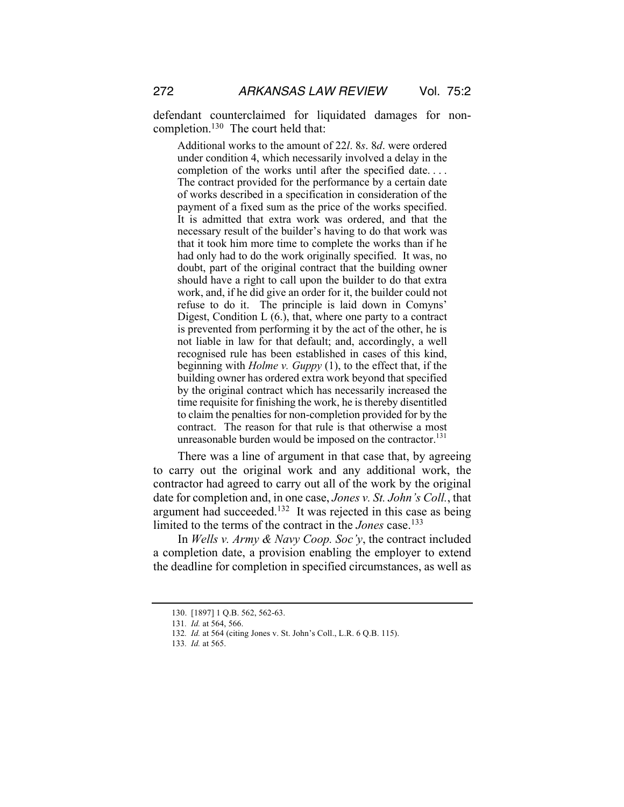defendant counterclaimed for liquidated damages for noncompletion.130 The court held that:

Additional works to the amount of 22*l*. 8*s*. 8*d*. were ordered under condition 4, which necessarily involved a delay in the completion of the works until after the specified date. . . . The contract provided for the performance by a certain date of works described in a specification in consideration of the payment of a fixed sum as the price of the works specified. It is admitted that extra work was ordered, and that the necessary result of the builder's having to do that work was that it took him more time to complete the works than if he had only had to do the work originally specified. It was, no doubt, part of the original contract that the building owner should have a right to call upon the builder to do that extra work, and, if he did give an order for it, the builder could not refuse to do it. The principle is laid down in Comyns' Digest, Condition L (6.), that, where one party to a contract is prevented from performing it by the act of the other, he is not liable in law for that default; and, accordingly, a well recognised rule has been established in cases of this kind, beginning with *Holme v. Guppy* (1), to the effect that, if the building owner has ordered extra work beyond that specified by the original contract which has necessarily increased the time requisite for finishing the work, he is thereby disentitled to claim the penalties for non-completion provided for by the contract. The reason for that rule is that otherwise a most unreasonable burden would be imposed on the contractor. $^{131}$ 

There was a line of argument in that case that, by agreeing to carry out the original work and any additional work, the contractor had agreed to carry out all of the work by the original date for completion and, in one case, *Jones v. St. John's Coll.*, that argument had succeeded.132 It was rejected in this case as being limited to the terms of the contract in the *Jones* case.<sup>133</sup>

In *Wells v. Army & Navy Coop. Soc'y*, the contract included a completion date, a provision enabling the employer to extend the deadline for completion in specified circumstances, as well as

<sup>130.</sup> [1897] 1 Q.B. 562, 562-63.

<sup>131</sup>*. Id.* at 564, 566.

<sup>132</sup>*. Id.* at 564 (citing Jones v. St. John's Coll., L.R. 6 Q.B. 115).

<sup>133</sup>*. Id.* at 565.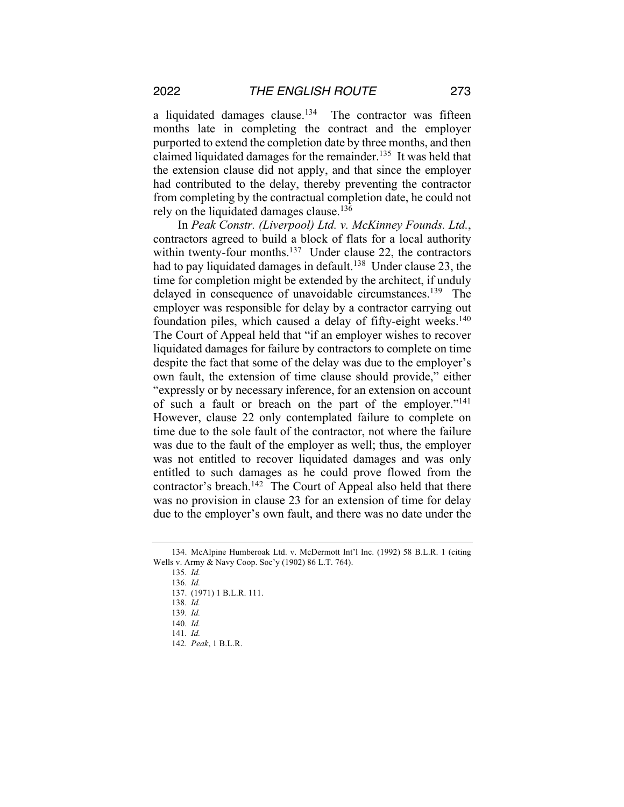a liquidated damages clause.<sup>134</sup> The contractor was fifteen months late in completing the contract and the employer purported to extend the completion date by three months, and then claimed liquidated damages for the remainder.135 It was held that the extension clause did not apply, and that since the employer had contributed to the delay, thereby preventing the contractor from completing by the contractual completion date, he could not rely on the liquidated damages clause.<sup>136</sup>

In *Peak Constr. (Liverpool) Ltd. v. McKinney Founds. Ltd.*, contractors agreed to build a block of flats for a local authority within twenty-four months.<sup>137</sup> Under clause 22, the contractors had to pay liquidated damages in default.<sup>138</sup> Under clause 23, the time for completion might be extended by the architect, if unduly delayed in consequence of unavoidable circumstances.<sup>139</sup> The employer was responsible for delay by a contractor carrying out foundation piles, which caused a delay of fifty-eight weeks.<sup>140</sup> The Court of Appeal held that "if an employer wishes to recover liquidated damages for failure by contractors to complete on time despite the fact that some of the delay was due to the employer's own fault, the extension of time clause should provide," either "expressly or by necessary inference, for an extension on account of such a fault or breach on the part of the employer."141 However, clause 22 only contemplated failure to complete on time due to the sole fault of the contractor, not where the failure was due to the fault of the employer as well; thus, the employer was not entitled to recover liquidated damages and was only entitled to such damages as he could prove flowed from the contractor's breach.<sup>142</sup> The Court of Appeal also held that there was no provision in clause 23 for an extension of time for delay due to the employer's own fault, and there was no date under the

<sup>134.</sup> McAlpine Humberoak Ltd. v. McDermott Int'l Inc. (1992) 58 B.L.R. 1 (citing Wells v. Army & Navy Coop. Soc'y (1902) 86 L.T. 764).

<sup>135</sup>*. Id.*

<sup>136</sup>*. Id.*

<sup>137.</sup> (1971) 1 B.L.R. 111.

<sup>138</sup>*. Id.*

<sup>139</sup>*. Id.*

<sup>140</sup>*. Id.*

<sup>141</sup>*. Id.*

<sup>142</sup>*. Peak*, 1 B.L.R.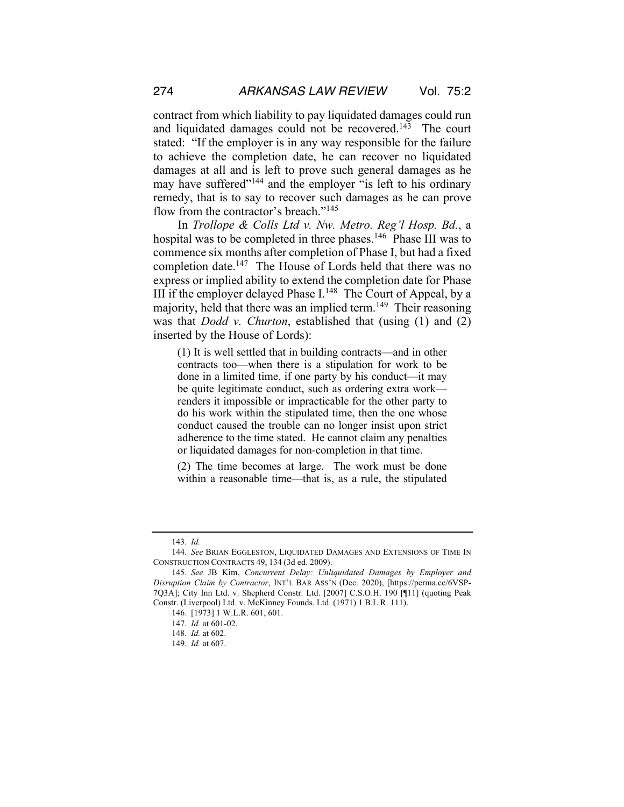contract from which liability to pay liquidated damages could run and liquidated damages could not be recovered.<sup>143</sup> The court stated: "If the employer is in any way responsible for the failure to achieve the completion date, he can recover no liquidated damages at all and is left to prove such general damages as he may have suffered"<sup>144</sup> and the employer "is left to his ordinary remedy, that is to say to recover such damages as he can prove flow from the contractor's breach."<sup>145</sup>

In *Trollope & Colls Ltd v. Nw. Metro. Reg'l Hosp. Bd.*, a hospital was to be completed in three phases.<sup>146</sup> Phase III was to commence six months after completion of Phase I, but had a fixed completion date.<sup>147</sup> The House of Lords held that there was no express or implied ability to extend the completion date for Phase III if the employer delayed Phase  $I<sup>148</sup>$  The Court of Appeal, by a majority, held that there was an implied term.<sup>149</sup> Their reasoning was that *Dodd v. Churton*, established that (using (1) and (2) inserted by the House of Lords):

(1) It is well settled that in building contracts—and in other contracts too—when there is a stipulation for work to be done in a limited time, if one party by his conduct—it may be quite legitimate conduct, such as ordering extra work renders it impossible or impracticable for the other party to do his work within the stipulated time, then the one whose conduct caused the trouble can no longer insist upon strict adherence to the time stated. He cannot claim any penalties or liquidated damages for non-completion in that time.

(2) The time becomes at large. The work must be done within a reasonable time—that is, as a rule, the stipulated

<sup>143</sup>*. Id.*

<sup>144</sup>*. See* BRIAN EGGLESTON, LIQUIDATED DAMAGES AND EXTENSIONS OF TIME IN CONSTRUCTION CONTRACTS 49, 134 (3d ed. 2009).

<sup>145</sup>*. See* JB Kim, *Concurrent Delay: Unliquidated Damages by Employer and Disruption Claim by Contractor*, INT'L BAR ASS'N (Dec. 2020), [https://perma.cc/6VSP-7Q3A]; City Inn Ltd. v. Shepherd Constr. Ltd. [2007] C.S.O.H. 190 [¶11] (quoting Peak Constr. (Liverpool) Ltd. v. McKinney Founds. Ltd. (1971) 1 B.L.R. 111).

<sup>146.</sup> [1973] 1 W.L.R. 601, 601.

<sup>147</sup>*. Id.* at 601-02.

<sup>148</sup>*. Id.* at 602.

<sup>149</sup>*. Id.* at 607.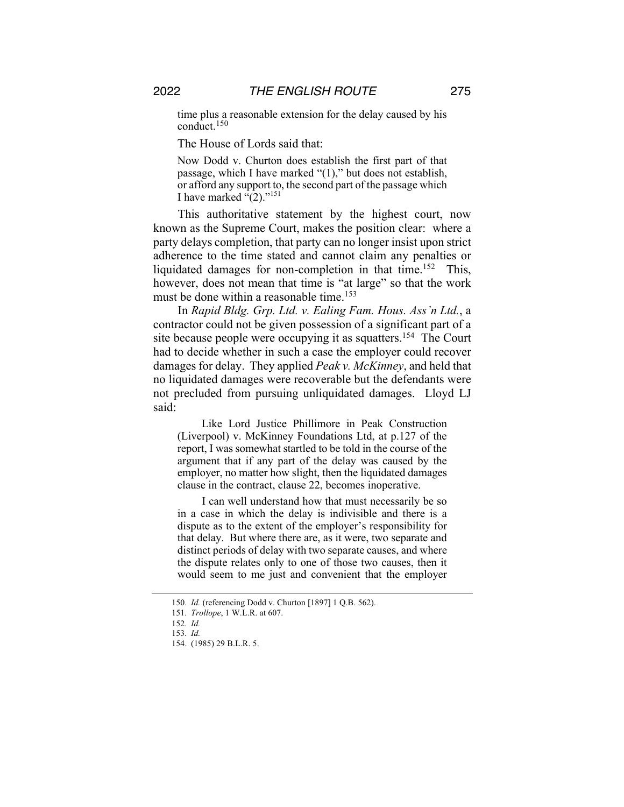time plus a reasonable extension for the delay caused by his conduct.<sup>150</sup>

The House of Lords said that:

Now Dodd v. Churton does establish the first part of that passage, which I have marked "(1)," but does not establish, or afford any support to, the second part of the passage which I have marked " $(2)$ ."<sup>151</sup>

This authoritative statement by the highest court, now known as the Supreme Court, makes the position clear: where a party delays completion, that party can no longer insist upon strict adherence to the time stated and cannot claim any penalties or liquidated damages for non-completion in that time.<sup>152</sup> This, however, does not mean that time is "at large" so that the work must be done within a reasonable time.<sup>153</sup>

In *Rapid Bldg. Grp. Ltd. v. Ealing Fam. Hous. Ass'n Ltd.*, a contractor could not be given possession of a significant part of a site because people were occupying it as squatters.<sup>154</sup> The Court had to decide whether in such a case the employer could recover damages for delay. They applied *Peak v. McKinney*, and held that no liquidated damages were recoverable but the defendants were not precluded from pursuing unliquidated damages. Lloyd LJ said:

Like Lord Justice Phillimore in Peak Construction (Liverpool) v. McKinney Foundations Ltd, at p.127 of the report, I was somewhat startled to be told in the course of the argument that if any part of the delay was caused by the employer, no matter how slight, then the liquidated damages clause in the contract, clause 22, becomes inoperative.

I can well understand how that must necessarily be so in a case in which the delay is indivisible and there is a dispute as to the extent of the employer's responsibility for that delay. But where there are, as it were, two separate and distinct periods of delay with two separate causes, and where the dispute relates only to one of those two causes, then it would seem to me just and convenient that the employer

<sup>150</sup>*. Id.* (referencing Dodd v. Churton [1897] 1 Q.B. 562).

<sup>151</sup>*. Trollope*, 1 W.L.R. at 607.

<sup>152</sup>*. Id.*

<sup>153</sup>*. Id.*

<sup>154.</sup> (1985) 29 B.L.R. 5.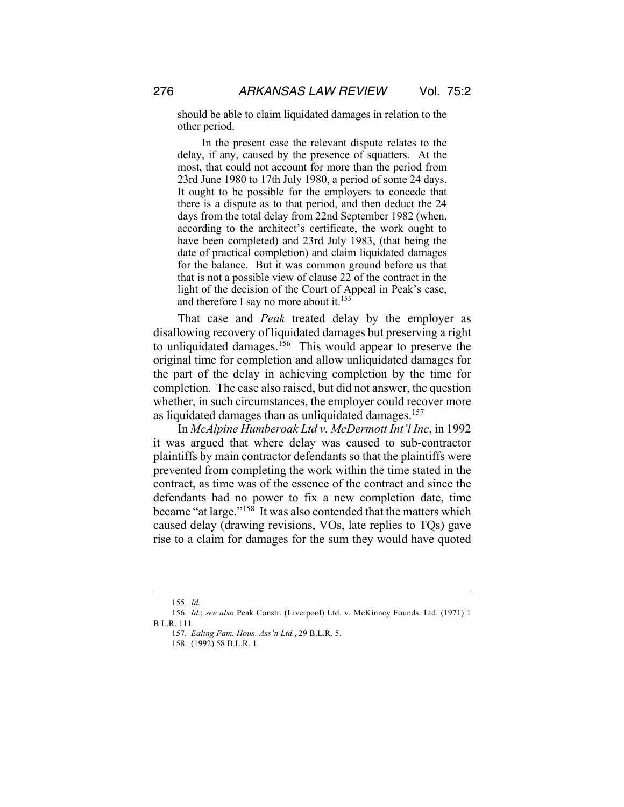should be able to claim liquidated damages in relation to the other period.

In the present case the relevant dispute relates to the delay, if any, caused by the presence of squatters. At the most, that could not account for more than the period from 23rd June 1980 to 17th July 1980, a period of some 24 days. It ought to be possible for the employers to concede that there is a dispute as to that period, and then deduct the 24 days from the total delay from 22nd September 1982 (when, according to the architect's certificate, the work ought to have been completed) and 23rd July 1983, (that being the date of practical completion) and claim liquidated damages for the balance. But it was common ground before us that that is not a possible view of clause 22 of the contract in the light of the decision of the Court of Appeal in Peak's case, and therefore I say no more about it.<sup>155</sup>

That case and *Peak* treated delay by the employer as disallowing recovery of liquidated damages but preserving a right to unliquidated damages.<sup>156</sup> This would appear to preserve the original time for completion and allow unliquidated damages for the part of the delay in achieving completion by the time for completion. The case also raised, but did not answer, the question whether, in such circumstances, the employer could recover more as liquidated damages than as unliquidated damages.<sup>157</sup>

In *McAlpine Humberoak Ltd v. McDermott Int'l Inc*, in 1992 it was argued that where delay was caused to sub-contractor plaintiffs by main contractor defendants so that the plaintiffs were prevented from completing the work within the time stated in the contract, as time was of the essence of the contract and since the defendants had no power to fix a new completion date, time became "at large."158 It was also contended that the matters which caused delay (drawing revisions, VOs, late replies to TQs) gave rise to a claim for damages for the sum they would have quoted

<sup>155</sup>*. Id.* 

<sup>156</sup>*. Id.*; *see also* Peak Constr. (Liverpool) Ltd. v. McKinney Founds. Ltd. (1971) 1 B.L.R. 111.

<sup>157</sup>*. Ealing Fam. Hous. Ass'n Ltd.*, 29 B.L.R. 5.

<sup>158.</sup> (1992) 58 B.L.R. 1.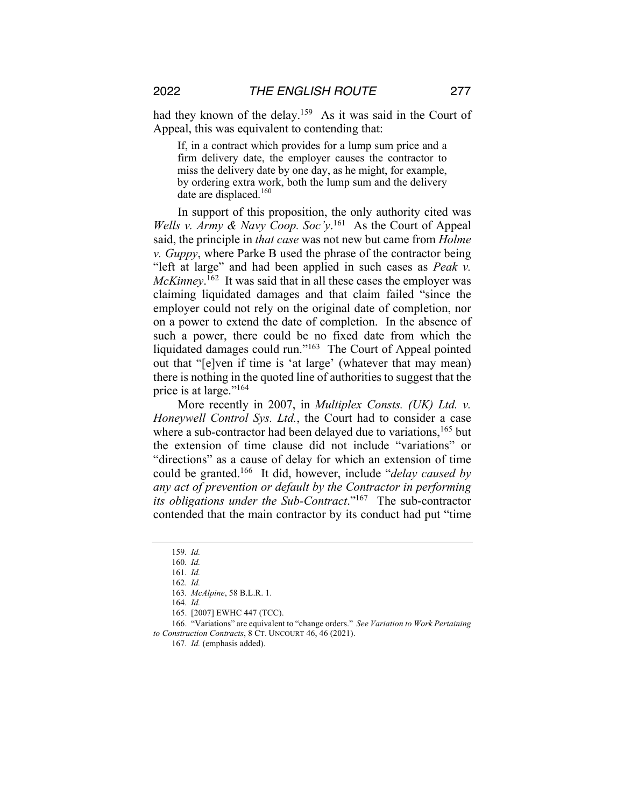had they known of the delay.159 As it was said in the Court of Appeal, this was equivalent to contending that:

If, in a contract which provides for a lump sum price and a firm delivery date, the employer causes the contractor to miss the delivery date by one day, as he might, for example, by ordering extra work, both the lump sum and the delivery date are displaced.<sup>160</sup>

In support of this proposition, the only authority cited was *Wells v. Army & Navy Coop. Soc'y*. 161 As the Court of Appeal said, the principle in *that case* was not new but came from *Holme v. Guppy*, where Parke B used the phrase of the contractor being "left at large" and had been applied in such cases as *Peak v. McKinney*. 162 It was said that in all these cases the employer was claiming liquidated damages and that claim failed "since the employer could not rely on the original date of completion, nor on a power to extend the date of completion. In the absence of such a power, there could be no fixed date from which the liquidated damages could run."163 The Court of Appeal pointed out that "[e]ven if time is 'at large' (whatever that may mean) there is nothing in the quoted line of authorities to suggest that the price is at large."164

More recently in 2007, in *Multiplex Consts. (UK) Ltd. v. Honeywell Control Sys. Ltd.*, the Court had to consider a case where a sub-contractor had been delayed due to variations,  $165$  but the extension of time clause did not include "variations" or "directions" as a cause of delay for which an extension of time could be granted.166 It did, however, include "*delay caused by any act of prevention or default by the Contractor in performing its obligations under the Sub-Contract*."167 The sub-contractor contended that the main contractor by its conduct had put "time

<sup>159</sup>*. Id.* 

<sup>160</sup>*. Id.*

<sup>161</sup>*. Id.*

<sup>162</sup>*. Id.*

<sup>163</sup>*. McAlpine*, 58 B.L.R. 1.

<sup>164</sup>*. Id.* 

<sup>165.</sup> [2007] EWHC 447 (TCC).

<sup>166.</sup> "Variations" are equivalent to "change orders." *See Variation to Work Pertaining to Construction Contracts*, 8 CT. UNCOURT 46, 46 (2021).

<sup>167</sup>*. Id.* (emphasis added).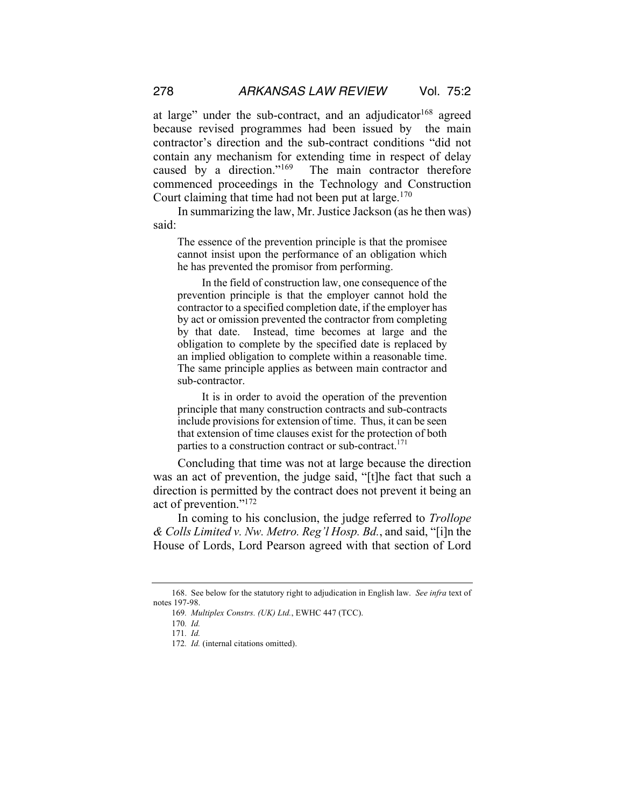at large" under the sub-contract, and an adjudicator<sup>168</sup> agreed because revised programmes had been issued by the main contractor's direction and the sub-contract conditions "did not contain any mechanism for extending time in respect of delay caused by a direction."169 The main contractor therefore commenced proceedings in the Technology and Construction Court claiming that time had not been put at large. $170$ 

In summarizing the law, Mr. Justice Jackson (as he then was) said:

The essence of the prevention principle is that the promisee cannot insist upon the performance of an obligation which he has prevented the promisor from performing.

In the field of construction law, one consequence of the prevention principle is that the employer cannot hold the contractor to a specified completion date, if the employer has by act or omission prevented the contractor from completing by that date. Instead, time becomes at large and the obligation to complete by the specified date is replaced by an implied obligation to complete within a reasonable time. The same principle applies as between main contractor and sub-contractor.

It is in order to avoid the operation of the prevention principle that many construction contracts and sub-contracts include provisions for extension of time. Thus, it can be seen that extension of time clauses exist for the protection of both parties to a construction contract or sub-contract.<sup>171</sup>

Concluding that time was not at large because the direction was an act of prevention, the judge said, "[t]he fact that such a direction is permitted by the contract does not prevent it being an act of prevention."172

In coming to his conclusion, the judge referred to *Trollope & Colls Limited v. Nw. Metro. Reg'l Hosp. Bd.*, and said, "[i]n the House of Lords, Lord Pearson agreed with that section of Lord

<sup>168.</sup> See below for the statutory right to adjudication in English law. *See infra* text of notes 197-98.

<sup>169</sup>*. Multiplex Constrs. (UK) Ltd.*, EWHC 447 (TCC).

<sup>170</sup>*. Id.*

<sup>171</sup>*. Id.*

<sup>172</sup>*. Id.* (internal citations omitted).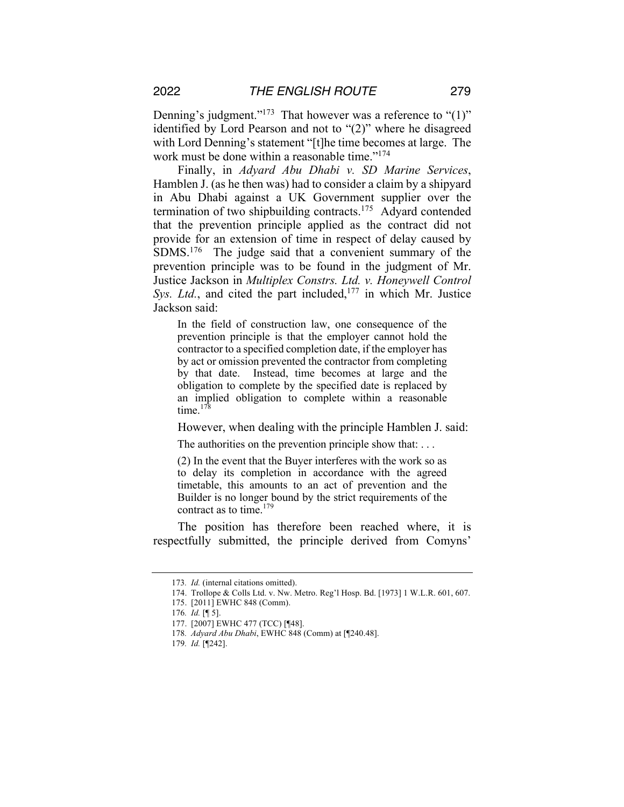Denning's judgment."<sup>173</sup> That however was a reference to " $(1)$ " identified by Lord Pearson and not to "(2)" where he disagreed with Lord Denning's statement "[t]he time becomes at large. The work must be done within a reasonable time."174

Finally, in *Adyard Abu Dhabi v. SD Marine Services*, Hamblen J. (as he then was) had to consider a claim by a shipyard in Abu Dhabi against a UK Government supplier over the termination of two shipbuilding contracts.<sup>175</sup> Adyard contended that the prevention principle applied as the contract did not provide for an extension of time in respect of delay caused by SDMS.176 The judge said that a convenient summary of the prevention principle was to be found in the judgment of Mr. Justice Jackson in *Multiplex Constrs. Ltd. v. Honeywell Control Sys. Ltd.*, and cited the part included,<sup>177</sup> in which Mr. Justice Jackson said:

In the field of construction law, one consequence of the prevention principle is that the employer cannot hold the contractor to a specified completion date, if the employer has by act or omission prevented the contractor from completing by that date. Instead, time becomes at large and the obligation to complete by the specified date is replaced by an implied obligation to complete within a reasonable time. $178$ 

However, when dealing with the principle Hamblen J. said:

The authorities on the prevention principle show that: . . .

(2) In the event that the Buyer interferes with the work so as to delay its completion in accordance with the agreed timetable, this amounts to an act of prevention and the Builder is no longer bound by the strict requirements of the contract as to time.<sup>179</sup>

The position has therefore been reached where, it is respectfully submitted, the principle derived from Comyns'

<sup>173</sup>*. Id.* (internal citations omitted).

<sup>174.</sup> Trollope & Colls Ltd. v. Nw. Metro. Reg'l Hosp. Bd. [1973] 1 W.L.R. 601, 607.

<sup>175.</sup> [2011] EWHC 848 (Comm).

<sup>176</sup>*. Id.* [¶ 5].

<sup>177.</sup> [2007] EWHC 477 (TCC) [¶48].

<sup>178</sup>*. Adyard Abu Dhabi*, EWHC 848 (Comm) at [¶240.48].

<sup>179</sup>*. Id.* [¶242].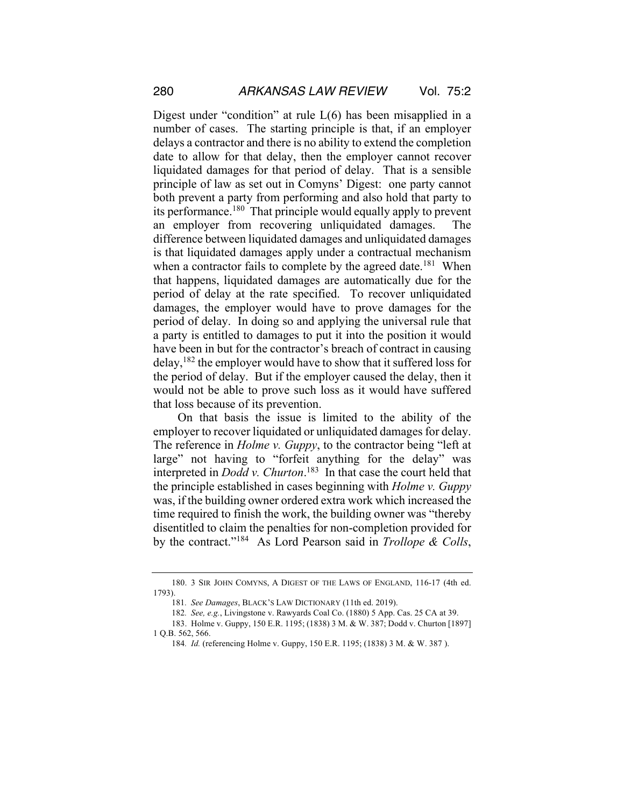Digest under "condition" at rule  $L(6)$  has been misapplied in a number of cases. The starting principle is that, if an employer delays a contractor and there is no ability to extend the completion date to allow for that delay, then the employer cannot recover liquidated damages for that period of delay. That is a sensible principle of law as set out in Comyns' Digest: one party cannot both prevent a party from performing and also hold that party to its performance.<sup>180</sup> That principle would equally apply to prevent an employer from recovering unliquidated damages. The difference between liquidated damages and unliquidated damages is that liquidated damages apply under a contractual mechanism when a contractor fails to complete by the agreed date.<sup>181</sup> When that happens, liquidated damages are automatically due for the period of delay at the rate specified. To recover unliquidated damages, the employer would have to prove damages for the period of delay. In doing so and applying the universal rule that a party is entitled to damages to put it into the position it would have been in but for the contractor's breach of contract in causing delay,  $182$  the employer would have to show that it suffered loss for the period of delay. But if the employer caused the delay, then it would not be able to prove such loss as it would have suffered that loss because of its prevention.

On that basis the issue is limited to the ability of the employer to recover liquidated or unliquidated damages for delay. The reference in *Holme v. Guppy*, to the contractor being "left at large" not having to "forfeit anything for the delay" was interpreted in *Dodd v. Churton*. <sup>183</sup>In that case the court held that the principle established in cases beginning with *Holme v. Guppy* was, if the building owner ordered extra work which increased the time required to finish the work, the building owner was "thereby disentitled to claim the penalties for non-completion provided for by the contract."184 As Lord Pearson said in *Trollope & Colls*,

<sup>180.</sup> 3 SIR JOHN COMYNS, A DIGEST OF THE LAWS OF ENGLAND, 116-17 (4th ed. 1793).

<sup>181</sup>*. See Damages*, BLACK'S LAW DICTIONARY (11th ed. 2019).

<sup>182</sup>*. See, e.g.*, Livingstone v. Rawyards Coal Co. (1880) 5 App. Cas. 25 CA at 39.

<sup>183.</sup> Holme v. Guppy, 150 E.R. 1195; (1838) 3 M. & W. 387; Dodd v. Churton [1897] 1 Q.B. 562, 566.

<sup>184</sup>*. Id.* (referencing Holme v. Guppy, 150 E.R. 1195; (1838) 3 M. & W. 387 ).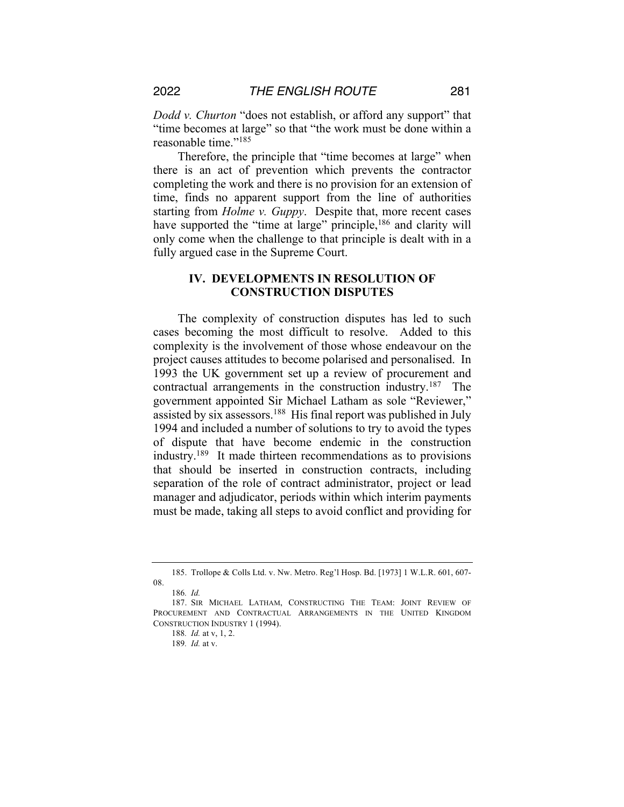*Dodd v. Churton* "does not establish, or afford any support" that "time becomes at large" so that "the work must be done within a reasonable time."185

Therefore, the principle that "time becomes at large" when there is an act of prevention which prevents the contractor completing the work and there is no provision for an extension of time, finds no apparent support from the line of authorities starting from *Holme v. Guppy*. Despite that, more recent cases have supported the "time at large" principle,<sup>186</sup> and clarity will only come when the challenge to that principle is dealt with in a fully argued case in the Supreme Court.

## **IV. DEVELOPMENTS IN RESOLUTION OF CONSTRUCTION DISPUTES**

The complexity of construction disputes has led to such cases becoming the most difficult to resolve. Added to this complexity is the involvement of those whose endeavour on the project causes attitudes to become polarised and personalised. In 1993 the UK government set up a review of procurement and contractual arrangements in the construction industry.<sup>187</sup> The government appointed Sir Michael Latham as sole "Reviewer," assisted by six assessors.<sup>188</sup> His final report was published in July 1994 and included a number of solutions to try to avoid the types of dispute that have become endemic in the construction industry.189 It made thirteen recommendations as to provisions that should be inserted in construction contracts, including separation of the role of contract administrator, project or lead manager and adjudicator, periods within which interim payments must be made, taking all steps to avoid conflict and providing for

<sup>185.</sup> Trollope & Colls Ltd. v. Nw. Metro. Reg'l Hosp. Bd. [1973] 1 W.L.R. 601, 607- 08.

<sup>186</sup>*. Id.*

<sup>187.</sup> SIR MICHAEL LATHAM, CONSTRUCTING THE TEAM: JOINT REVIEW OF PROCUREMENT AND CONTRACTUAL ARRANGEMENTS IN THE UNITED KINGDOM CONSTRUCTION INDUSTRY 1 (1994).

<sup>188</sup>*. Id.* at v, 1, 2.

<sup>189</sup>*. Id.* at v.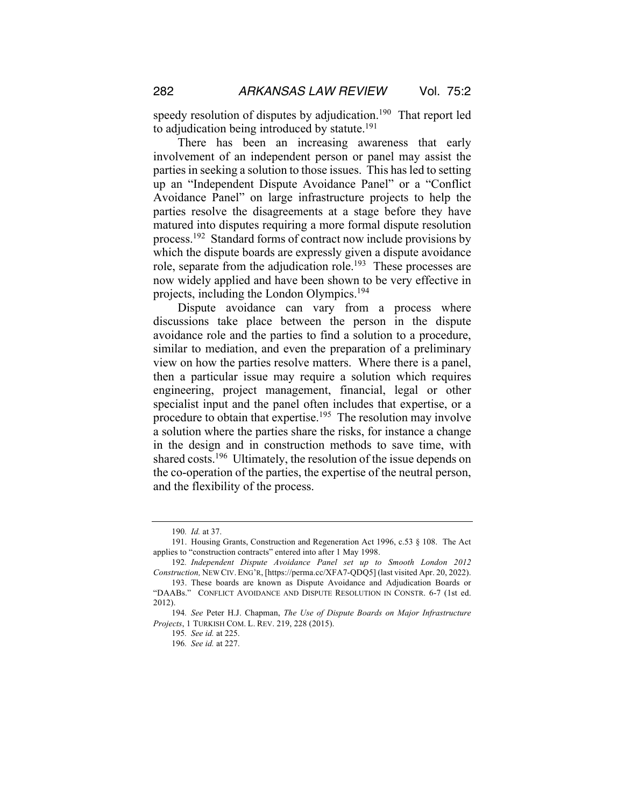speedy resolution of disputes by adjudication.<sup>190</sup> That report led to adjudication being introduced by statute.<sup>191</sup>

There has been an increasing awareness that early involvement of an independent person or panel may assist the parties in seeking a solution to those issues. This has led to setting up an "Independent Dispute Avoidance Panel" or a "Conflict Avoidance Panel" on large infrastructure projects to help the parties resolve the disagreements at a stage before they have matured into disputes requiring a more formal dispute resolution process.192 Standard forms of contract now include provisions by which the dispute boards are expressly given a dispute avoidance role, separate from the adjudication role.<sup>193</sup> These processes are now widely applied and have been shown to be very effective in projects, including the London Olympics.194

Dispute avoidance can vary from a process where discussions take place between the person in the dispute avoidance role and the parties to find a solution to a procedure, similar to mediation, and even the preparation of a preliminary view on how the parties resolve matters. Where there is a panel, then a particular issue may require a solution which requires engineering, project management, financial, legal or other specialist input and the panel often includes that expertise, or a procedure to obtain that expertise.<sup>195</sup> The resolution may involve a solution where the parties share the risks, for instance a change in the design and in construction methods to save time, with shared costs.<sup>196</sup> Ultimately, the resolution of the issue depends on the co-operation of the parties, the expertise of the neutral person, and the flexibility of the process.

<sup>190</sup>*. Id.* at 37.

<sup>191.</sup> Housing Grants, Construction and Regeneration Act 1996, c.53 § 108. The Act applies to "construction contracts" entered into after 1 May 1998.

<sup>192</sup>*. Independent Dispute Avoidance Panel set up to Smooth London 2012 Construction,* NEW CIV. ENG'R, [https://perma.cc/XFA7-QDQ5] (last visited Apr. 20, 2022).

<sup>193.</sup> These boards are known as Dispute Avoidance and Adjudication Boards or "DAABs." CONFLICT AVOIDANCE AND DISPUTE RESOLUTION IN CONSTR. 6-7 (1st ed. 2012).

<sup>194</sup>*. See* Peter H.J. Chapman, *The Use of Dispute Boards on Major Infrastructure Projects*, 1 TURKISH COM. L. REV. 219, 228 (2015).

<sup>195</sup>*. See id.* at 225.

<sup>196</sup>*. See id.* at 227.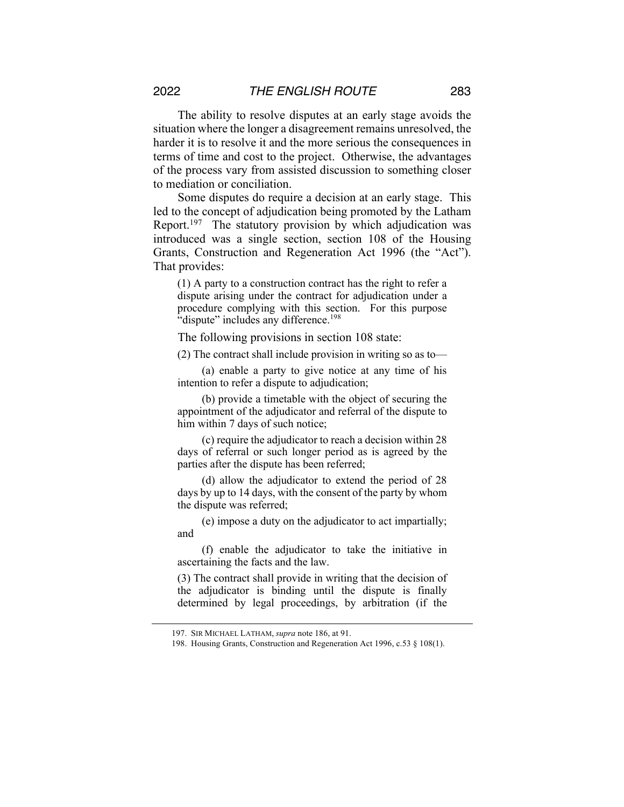The ability to resolve disputes at an early stage avoids the situation where the longer a disagreement remains unresolved, the harder it is to resolve it and the more serious the consequences in terms of time and cost to the project. Otherwise, the advantages of the process vary from assisted discussion to something closer to mediation or conciliation.

Some disputes do require a decision at an early stage. This led to the concept of adjudication being promoted by the Latham Report.<sup>197</sup> The statutory provision by which adjudication was introduced was a single section, section 108 of the Housing Grants, Construction and Regeneration Act 1996 (the "Act"). That provides:

(1) A party to a construction contract has the right to refer a dispute arising under the contract for adjudication under a procedure complying with this section. For this purpose "dispute" includes any difference.<sup>198</sup>

The following provisions in section 108 state:

(2) The contract shall include provision in writing so as to—

(a) enable a party to give notice at any time of his intention to refer a dispute to adjudication;

(b) provide a timetable with the object of securing the appointment of the adjudicator and referral of the dispute to him within 7 days of such notice;

(c) require the adjudicator to reach a decision within 28 days of referral or such longer period as is agreed by the parties after the dispute has been referred;

(d) allow the adjudicator to extend the period of 28 days by up to 14 days, with the consent of the party by whom the dispute was referred;

(e) impose a duty on the adjudicator to act impartially; and

(f) enable the adjudicator to take the initiative in ascertaining the facts and the law.

(3) The contract shall provide in writing that the decision of the adjudicator is binding until the dispute is finally determined by legal proceedings, by arbitration (if the

<sup>197.</sup> SIR MICHAEL LATHAM, *supra* note 186, at 91.

<sup>198.</sup> Housing Grants, Construction and Regeneration Act 1996, c.53 § 108(1).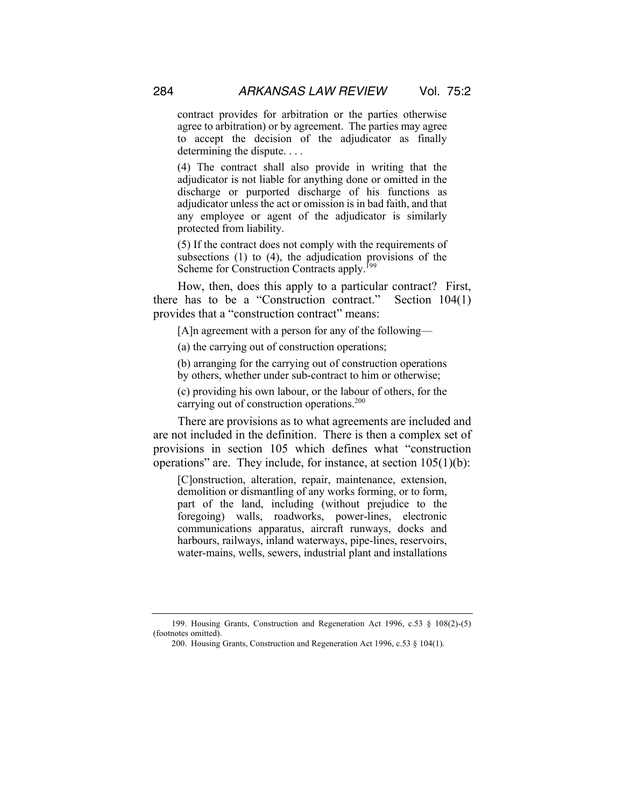contract provides for arbitration or the parties otherwise agree to arbitration) or by agreement. The parties may agree to accept the decision of the adjudicator as finally determining the dispute. . . .

(4) The contract shall also provide in writing that the adjudicator is not liable for anything done or omitted in the discharge or purported discharge of his functions as adjudicator unless the act or omission is in bad faith, and that any employee or agent of the adjudicator is similarly protected from liability.

(5) If the contract does not comply with the requirements of subsections (1) to (4), the adjudication provisions of the Scheme for Construction Contracts apply.<sup>199</sup>

How, then, does this apply to a particular contract? First, there has to be a "Construction contract." Section  $104(1)$ provides that a "construction contract" means:

[A]n agreement with a person for any of the following—

(a) the carrying out of construction operations;

(b) arranging for the carrying out of construction operations

by others, whether under sub-contract to him or otherwise;

(c) providing his own labour, or the labour of others, for the carrying out of construction operations.<sup>200</sup>

There are provisions as to what agreements are included and are not included in the definition. There is then a complex set of provisions in section 105 which defines what "construction operations" are. They include, for instance, at section  $105(1)(b)$ :

[C]onstruction, alteration, repair, maintenance, extension, demolition or dismantling of any works forming, or to form, part of the land, including (without prejudice to the foregoing) walls, roadworks, power-lines, electronic communications apparatus, aircraft runways, docks and harbours, railways, inland waterways, pipe-lines, reservoirs, water-mains, wells, sewers, industrial plant and installations

<sup>199.</sup> Housing Grants, Construction and Regeneration Act 1996, c.53 § 108(2)-(5) (footnotes omitted).

<sup>200.</sup> Housing Grants, Construction and Regeneration Act 1996, c.53 § 104(1).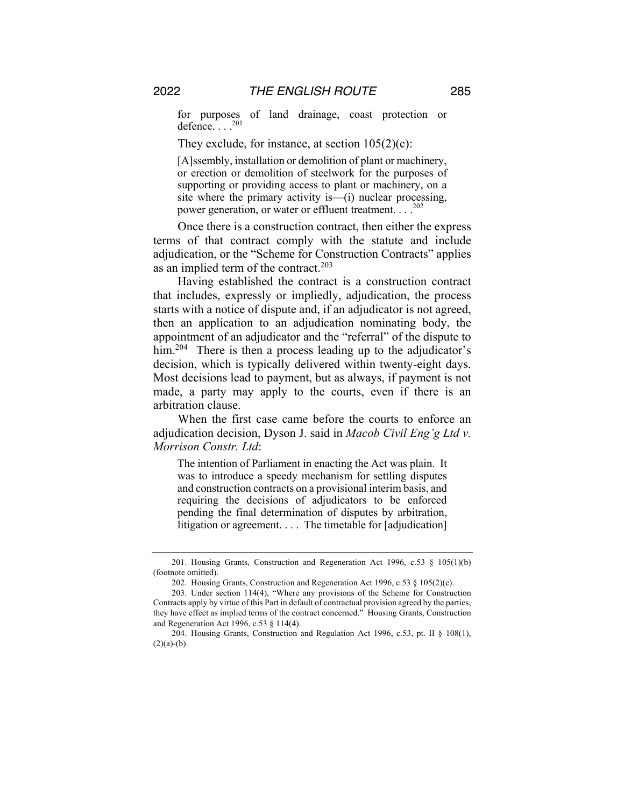for purposes of land drainage, coast protection or defence... $^{201}$ 

They exclude, for instance, at section  $105(2)(c)$ :

[A]ssembly, installation or demolition of plant or machinery, or erection or demolition of steelwork for the purposes of supporting or providing access to plant or machinery, on a site where the primary activity is—(i) nuclear processing, power generation, or water or effluent treatment...<sup>202</sup>

Once there is a construction contract, then either the express terms of that contract comply with the statute and include adjudication, or the "Scheme for Construction Contracts" applies as an implied term of the contract.<sup>203</sup>

Having established the contract is a construction contract that includes, expressly or impliedly, adjudication, the process starts with a notice of dispute and, if an adjudicator is not agreed, then an application to an adjudication nominating body, the appointment of an adjudicator and the "referral" of the dispute to him.<sup>204</sup> There is then a process leading up to the adjudicator's decision, which is typically delivered within twenty-eight days. Most decisions lead to payment, but as always, if payment is not made, a party may apply to the courts, even if there is an arbitration clause.

When the first case came before the courts to enforce an adjudication decision, Dyson J. said in *Macob Civil Eng'g Ltd v. Morrison Constr. Ltd*:

The intention of Parliament in enacting the Act was plain. It was to introduce a speedy mechanism for settling disputes and construction contracts on a provisional interim basis, and requiring the decisions of adjudicators to be enforced pending the final determination of disputes by arbitration, litigation or agreement. . . . The timetable for [adjudication]

<sup>201.</sup> Housing Grants, Construction and Regeneration Act 1996, c.53 § 105(1)(b) (footnote omitted).

<sup>202.</sup> Housing Grants, Construction and Regeneration Act 1996, c.53 § 105(2)(c).

<sup>203.</sup> Under section 114(4), "Where any provisions of the Scheme for Construction Contracts apply by virtue of this Part in default of contractual provision agreed by the parties, they have effect as implied terms of the contract concerned." Housing Grants, Construction and Regeneration Act 1996, c.53 § 114(4).

<sup>204.</sup> Housing Grants, Construction and Regulation Act 1996, c.53, pt. II § 108(1),  $(2)(a)-(b).$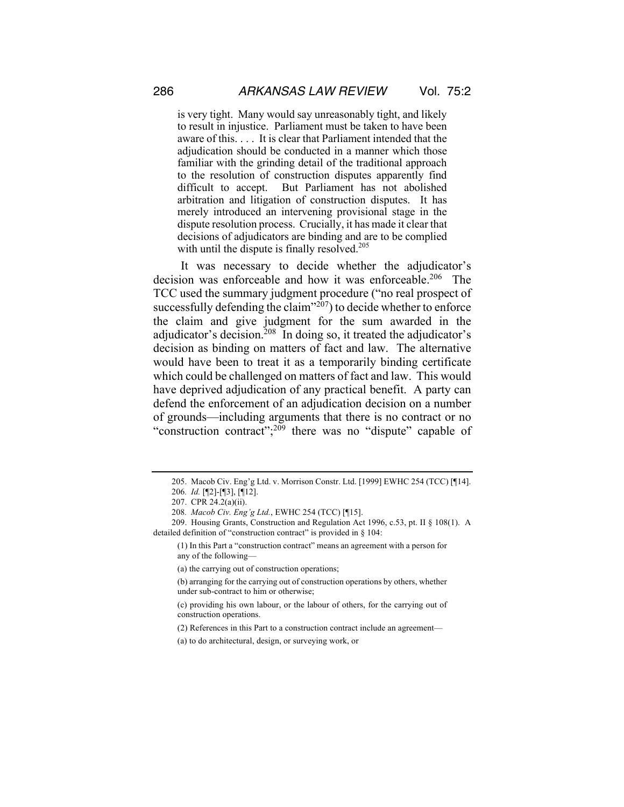is very tight. Many would say unreasonably tight, and likely to result in injustice. Parliament must be taken to have been aware of this. . . . It is clear that Parliament intended that the adjudication should be conducted in a manner which those familiar with the grinding detail of the traditional approach to the resolution of construction disputes apparently find difficult to accept. But Parliament has not abolished arbitration and litigation of construction disputes. It has merely introduced an intervening provisional stage in the dispute resolution process. Crucially, it has made it clear that decisions of adjudicators are binding and are to be complied with until the dispute is finally resolved.<sup>205</sup>

It was necessary to decide whether the adjudicator's decision was enforceable and how it was enforceable.<sup>206</sup> The TCC used the summary judgment procedure ("no real prospect of successfully defending the claim" $207$ ) to decide whether to enforce the claim and give judgment for the sum awarded in the adjudicator's decision.<sup>208</sup> In doing so, it treated the adjudicator's decision as binding on matters of fact and law. The alternative would have been to treat it as a temporarily binding certificate which could be challenged on matters of fact and law. This would have deprived adjudication of any practical benefit. A party can defend the enforcement of an adjudication decision on a number of grounds—including arguments that there is no contract or no "construction contract";<sup>209</sup> there was no "dispute" capable of

<sup>205.</sup> Macob Civ. Eng'g Ltd. v. Morrison Constr. Ltd. [1999] EWHC 254 (TCC) [¶14].

<sup>206</sup>*. Id.* [¶2]-[¶3], [¶12].

<sup>207.</sup> CPR 24.2(a)(ii).

<sup>208</sup>*. Macob Civ. Eng'g Ltd.*, EWHC 254 (TCC) [¶15].

<sup>209.</sup> Housing Grants, Construction and Regulation Act 1996, c.53, pt. II § 108(1). A detailed definition of "construction contract" is provided in § 104:

<sup>(1)</sup> In this Part a "construction contract" means an agreement with a person for any of the following—

<sup>(</sup>a) the carrying out of construction operations;

<sup>(</sup>b) arranging for the carrying out of construction operations by others, whether under sub-contract to him or otherwise;

<sup>(</sup>c) providing his own labour, or the labour of others, for the carrying out of construction operations.

<sup>(2)</sup> References in this Part to a construction contract include an agreement—

<sup>(</sup>a) to do architectural, design, or surveying work, or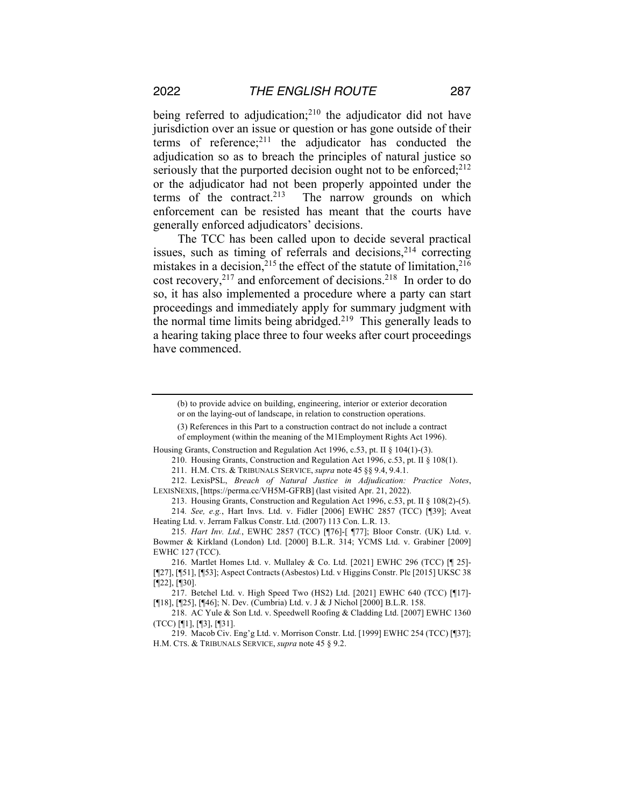being referred to adjudication; $^{210}$  the adjudicator did not have jurisdiction over an issue or question or has gone outside of their terms of reference; $^{211}$  the adjudicator has conducted the adjudication so as to breach the principles of natural justice so seriously that the purported decision ought not to be enforced; $^{212}$ or the adjudicator had not been properly appointed under the terms of the contract.<sup>213</sup> The narrow grounds on which enforcement can be resisted has meant that the courts have generally enforced adjudicators' decisions.

The TCC has been called upon to decide several practical issues, such as timing of referrals and decisions, $2^{14}$  correcting mistakes in a decision,  $2^{15}$  the effect of the statute of limitation,  $2^{16}$ cost recovery,217 and enforcement of decisions.218 In order to do so, it has also implemented a procedure where a party can start proceedings and immediately apply for summary judgment with the normal time limits being abridged.219 This generally leads to a hearing taking place three to four weeks after court proceedings have commenced.

(3) References in this Part to a construction contract do not include a contract of employment (within the meaning of the M1Employment Rights Act 1996).

Housing Grants, Construction and Regulation Act 1996, c.53, pt. II § 104(1)-(3).

210. Housing Grants, Construction and Regulation Act 1996, c.53, pt. II § 108(1). 211. H.M. CTS. & TRIBUNALS SERVICE, *supra* note 45 §§ 9.4, 9.4.1.

212. LexisPSL, *Breach of Natural Justice in Adjudication: Practice Notes*, LEXISNEXIS, [https://perma.cc/VH5M-GFRB] (last visited Apr. 21, 2022).

213. Housing Grants, Construction and Regulation Act 1996, c.53, pt. II § 108(2)-(5). 214*. See, e.g.*, Hart Invs. Ltd. v. Fidler [2006] EWHC 2857 (TCC) [¶39]; Aveat Heating Ltd. v. Jerram Falkus Constr. Ltd. (2007) 113 Con. L.R. 13.

215*. Hart Inv. Ltd.*, EWHC 2857 (TCC) [¶76]-[ ¶77]; Bloor Constr. (UK) Ltd. v. Bowmer & Kirkland (London) Ltd. [2000] B.L.R. 314; YCMS Ltd. v. Grabiner [2009] EWHC 127 (TCC).

216. Martlet Homes Ltd. v. Mullaley & Co. Ltd. [2021] EWHC 296 (TCC) [¶ 25]- [¶27], [¶51], [¶53]; Aspect Contracts (Asbestos) Ltd. v Higgins Constr. Plc [2015] UKSC 38 [¶22], [¶30].

217. Betchel Ltd. v. High Speed Two (HS2) Ltd. [2021] EWHC 640 (TCC) [¶17]- [¶18], [¶25], [¶46]; N. Dev. (Cumbria) Ltd. v. J & J Nichol [2000] B.L.R. 158.

218. AC Yule & Son Ltd. v. Speedwell Roofing & Cladding Ltd. [2007] EWHC 1360 (TCC) [¶1], [¶3], [¶31].

219. Macob Civ. Eng'g Ltd. v. Morrison Constr. Ltd. [1999] EWHC 254 (TCC) [¶37]; H.M. CTS. & TRIBUNALS SERVICE, *supra* note 45 § 9.2.

<sup>(</sup>b) to provide advice on building, engineering, interior or exterior decoration or on the laying-out of landscape, in relation to construction operations.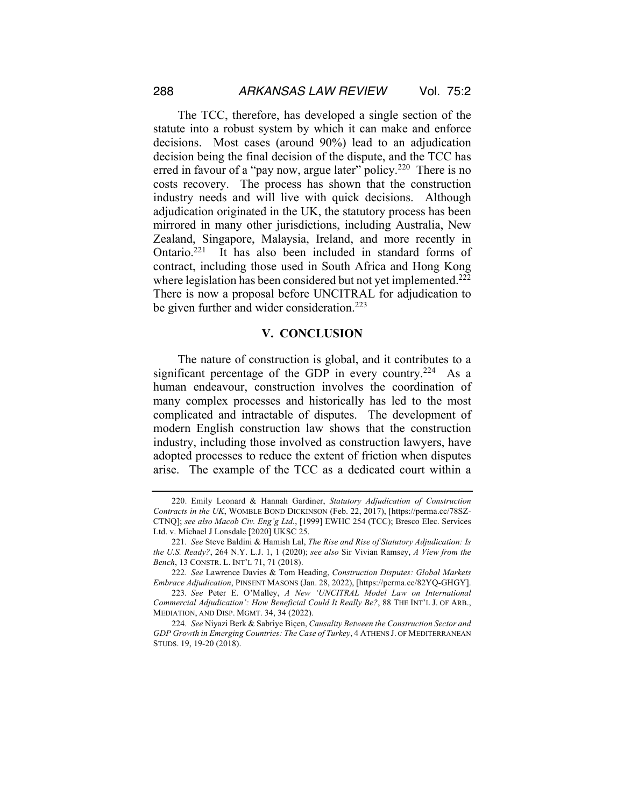The TCC, therefore, has developed a single section of the statute into a robust system by which it can make and enforce decisions. Most cases (around 90%) lead to an adjudication decision being the final decision of the dispute, and the TCC has erred in favour of a "pay now, argue later" policy.<sup>220</sup> There is no costs recovery. The process has shown that the construction industry needs and will live with quick decisions. Although adjudication originated in the UK, the statutory process has been mirrored in many other jurisdictions, including Australia, New Zealand, Singapore, Malaysia, Ireland, and more recently in Ontario.221 It has also been included in standard forms of contract, including those used in South Africa and Hong Kong where legislation has been considered but not yet implemented.<sup>222</sup> There is now a proposal before UNCITRAL for adjudication to be given further and wider consideration.<sup>223</sup>

#### **V. CONCLUSION**

The nature of construction is global, and it contributes to a significant percentage of the GDP in every country.<sup>224</sup> As a human endeavour, construction involves the coordination of many complex processes and historically has led to the most complicated and intractable of disputes. The development of modern English construction law shows that the construction industry, including those involved as construction lawyers, have adopted processes to reduce the extent of friction when disputes arise. The example of the TCC as a dedicated court within a

<sup>220.</sup> Emily Leonard & Hannah Gardiner, *Statutory Adjudication of Construction Contracts in the UK*, WOMBLE BOND DICKINSON (Feb. 22, 2017), [https://perma.cc/78SZ-CTNQ]; *see also Macob Civ. Eng'g Ltd.*, [1999] EWHC 254 (TCC); Bresco Elec. Services Ltd. v. Michael J Lonsdale [2020] UKSC 25.

<sup>221</sup>*. See* Steve Baldini & Hamish Lal, *The Rise and Rise of Statutory Adjudication: Is the U.S. Ready?*, 264 N.Y. L.J. 1, 1 (2020); *see also* Sir Vivian Ramsey, *A View from the Bench*, 13 CONSTR. L. INT'L 71, 71 (2018).

<sup>222</sup>*. See* Lawrence Davies & Tom Heading, *Construction Disputes: Global Markets Embrace Adjudication*, PINSENT MASONS (Jan. 28, 2022), [https://perma.cc/82YQ-GHGY].

<sup>223</sup>*. See* Peter E. O'Malley, *A New 'UNCITRAL Model Law on International Commercial Adjudication': How Beneficial Could It Really Be?*, 88 THE INT'L J. OF ARB., MEDIATION, AND DISP. MGMT. 34, 34 (2022).

<sup>224</sup>*. See* Niyazi Berk & Sabriye Biçen, *Causality Between the Construction Sector and GDP Growth in Emerging Countries: The Case of Turkey*, 4 ATHENS J. OF MEDITERRANEAN STUDS. 19, 19-20 (2018).